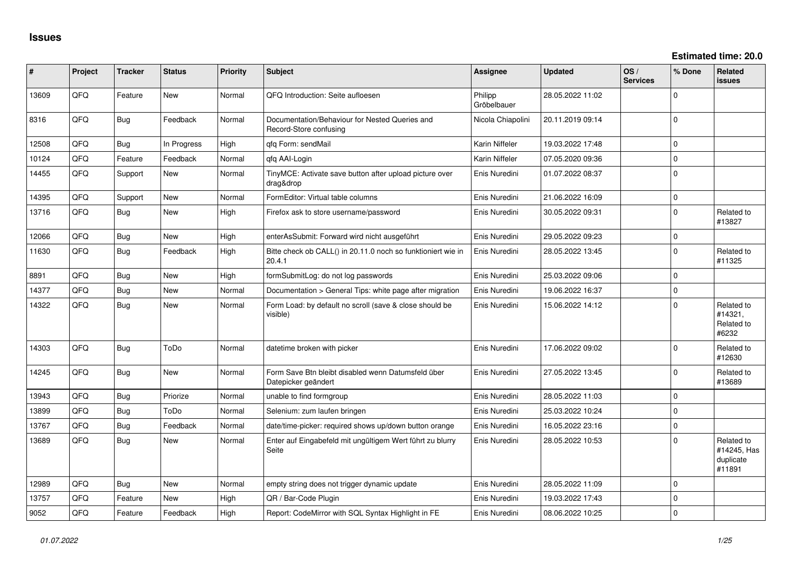| #     | Project | <b>Tracker</b> | <b>Status</b> | <b>Priority</b> | <b>Subject</b>                                                            | <b>Assignee</b>        | <b>Updated</b>   | OS/<br><b>Services</b> | % Done      | Related<br>issues                                |
|-------|---------|----------------|---------------|-----------------|---------------------------------------------------------------------------|------------------------|------------------|------------------------|-------------|--------------------------------------------------|
| 13609 | QFQ     | Feature        | <b>New</b>    | Normal          | QFQ Introduction: Seite aufloesen                                         | Philipp<br>Gröbelbauer | 28.05.2022 11:02 |                        | $\mathbf 0$ |                                                  |
| 8316  | QFQ     | <b>Bug</b>     | Feedback      | Normal          | Documentation/Behaviour for Nested Queries and<br>Record-Store confusing  | Nicola Chiapolini      | 20.11.2019 09:14 |                        | $\mathbf 0$ |                                                  |
| 12508 | QFQ     | <b>Bug</b>     | In Progress   | High            | gfg Form: sendMail                                                        | Karin Niffeler         | 19.03.2022 17:48 |                        | $\mathbf 0$ |                                                  |
| 10124 | QFQ     | Feature        | Feedback      | Normal          | qfq AAI-Login                                                             | Karin Niffeler         | 07.05.2020 09:36 |                        | $\mathbf 0$ |                                                  |
| 14455 | QFQ     | Support        | <b>New</b>    | Normal          | TinyMCE: Activate save button after upload picture over<br>drag&drop      | Enis Nuredini          | 01.07.2022 08:37 |                        | $\Omega$    |                                                  |
| 14395 | QFQ     | Support        | <b>New</b>    | Normal          | FormEditor: Virtual table columns                                         | Enis Nuredini          | 21.06.2022 16:09 |                        | $\mathbf 0$ |                                                  |
| 13716 | QFQ     | <b>Bug</b>     | New           | High            | Firefox ask to store username/password                                    | Enis Nuredini          | 30.05.2022 09:31 |                        | $\mathbf 0$ | Related to<br>#13827                             |
| 12066 | QFQ     | <b>Bug</b>     | New           | High            | enterAsSubmit: Forward wird nicht ausgeführt                              | Enis Nuredini          | 29.05.2022 09:23 |                        | $\mathbf 0$ |                                                  |
| 11630 | QFQ     | <b>Bug</b>     | Feedback      | High            | Bitte check ob CALL() in 20.11.0 noch so funktioniert wie in<br>20.4.1    | Enis Nuredini          | 28.05.2022 13:45 |                        | $\mathbf 0$ | Related to<br>#11325                             |
| 8891  | QFQ     | <b>Bug</b>     | <b>New</b>    | High            | formSubmitLog: do not log passwords                                       | Enis Nuredini          | 25.03.2022 09:06 |                        | $\mathbf 0$ |                                                  |
| 14377 | QFQ     | <b>Bug</b>     | New           | Normal          | Documentation > General Tips: white page after migration                  | Enis Nuredini          | 19.06.2022 16:37 |                        | $\mathbf 0$ |                                                  |
| 14322 | QFQ     | <b>Bug</b>     | New           | Normal          | Form Load: by default no scroll (save & close should be<br>visible)       | Enis Nuredini          | 15.06.2022 14:12 |                        | $\Omega$    | Related to<br>#14321,<br>Related to<br>#6232     |
| 14303 | QFQ     | <b>Bug</b>     | ToDo          | Normal          | datetime broken with picker                                               | Enis Nuredini          | 17.06.2022 09:02 |                        | $\mathbf 0$ | Related to<br>#12630                             |
| 14245 | QFQ     | <b>Bug</b>     | <b>New</b>    | Normal          | Form Save Btn bleibt disabled wenn Datumsfeld über<br>Datepicker geändert | Enis Nuredini          | 27.05.2022 13:45 |                        | $\mathbf 0$ | Related to<br>#13689                             |
| 13943 | QFQ     | <b>Bug</b>     | Priorize      | Normal          | unable to find formgroup                                                  | Enis Nuredini          | 28.05.2022 11:03 |                        | $\mathbf 0$ |                                                  |
| 13899 | QFQ     | <b>Bug</b>     | ToDo          | Normal          | Selenium: zum laufen bringen                                              | Enis Nuredini          | 25.03.2022 10:24 |                        | $\mathbf 0$ |                                                  |
| 13767 | QFQ     | <b>Bug</b>     | Feedback      | Normal          | date/time-picker: required shows up/down button orange                    | Enis Nuredini          | 16.05.2022 23:16 |                        | $\mathbf 0$ |                                                  |
| 13689 | QFQ     | <b>Bug</b>     | New           | Normal          | Enter auf Eingabefeld mit ungültigem Wert führt zu blurry<br>Seite        | Enis Nuredini          | 28.05.2022 10:53 |                        | $\Omega$    | Related to<br>#14245, Has<br>duplicate<br>#11891 |
| 12989 | QFQ     | <b>Bug</b>     | New           | Normal          | empty string does not trigger dynamic update                              | Enis Nuredini          | 28.05.2022 11:09 |                        | $\Omega$    |                                                  |
| 13757 | QFQ     | Feature        | New           | High            | QR / Bar-Code Plugin                                                      | Enis Nuredini          | 19.03.2022 17:43 |                        | 0           |                                                  |
| 9052  | QFQ     | Feature        | Feedback      | High            | Report: CodeMirror with SQL Syntax Highlight in FE                        | Enis Nuredini          | 08.06.2022 10:25 |                        | $\mathbf 0$ |                                                  |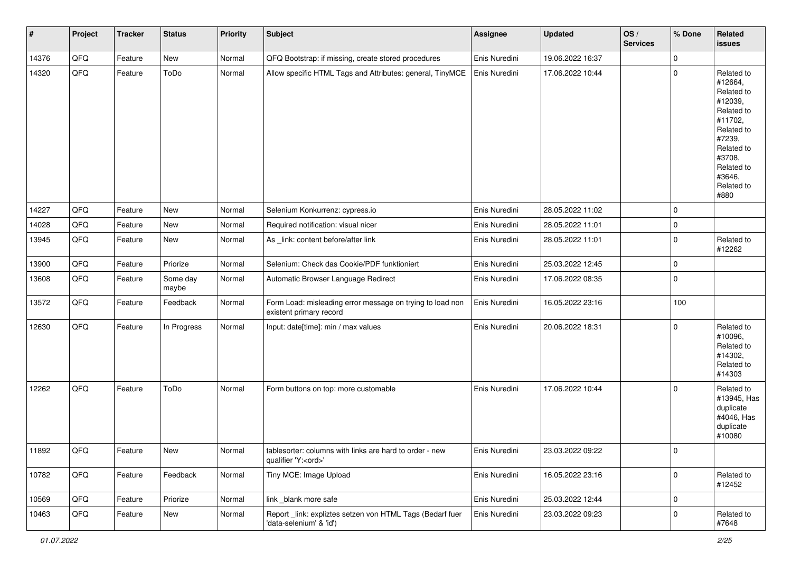| $\vert$ # | Project | <b>Tracker</b> | <b>Status</b>     | <b>Priority</b> | <b>Subject</b>                                                                        | <b>Assignee</b> | <b>Updated</b>   | OS/<br><b>Services</b> | % Done         | Related<br>issues                                                                                                                                                     |
|-----------|---------|----------------|-------------------|-----------------|---------------------------------------------------------------------------------------|-----------------|------------------|------------------------|----------------|-----------------------------------------------------------------------------------------------------------------------------------------------------------------------|
| 14376     | QFQ     | Feature        | New               | Normal          | QFQ Bootstrap: if missing, create stored procedures                                   | Enis Nuredini   | 19.06.2022 16:37 |                        | 0              |                                                                                                                                                                       |
| 14320     | QFQ     | Feature        | ToDo              | Normal          | Allow specific HTML Tags and Attributes: general, TinyMCE                             | Enis Nuredini   | 17.06.2022 10:44 |                        | $\mathbf 0$    | Related to<br>#12664,<br>Related to<br>#12039,<br>Related to<br>#11702,<br>Related to<br>#7239,<br>Related to<br>#3708,<br>Related to<br>#3646,<br>Related to<br>#880 |
| 14227     | QFQ     | Feature        | <b>New</b>        | Normal          | Selenium Konkurrenz: cypress.io                                                       | Enis Nuredini   | 28.05.2022 11:02 |                        | 0              |                                                                                                                                                                       |
| 14028     | QFQ     | Feature        | New               | Normal          | Required notification: visual nicer                                                   | Enis Nuredini   | 28.05.2022 11:01 |                        | 0              |                                                                                                                                                                       |
| 13945     | QFQ     | Feature        | New               | Normal          | As _link: content before/after link                                                   | Enis Nuredini   | 28.05.2022 11:01 |                        | $\overline{0}$ | Related to<br>#12262                                                                                                                                                  |
| 13900     | QFQ     | Feature        | Priorize          | Normal          | Selenium: Check das Cookie/PDF funktioniert                                           | Enis Nuredini   | 25.03.2022 12:45 |                        | 0              |                                                                                                                                                                       |
| 13608     | QFQ     | Feature        | Some day<br>maybe | Normal          | Automatic Browser Language Redirect                                                   | Enis Nuredini   | 17.06.2022 08:35 |                        | 0              |                                                                                                                                                                       |
| 13572     | QFQ     | Feature        | Feedback          | Normal          | Form Load: misleading error message on trying to load non<br>existent primary record  | Enis Nuredini   | 16.05.2022 23:16 |                        | 100            |                                                                                                                                                                       |
| 12630     | QFQ     | Feature        | In Progress       | Normal          | Input: date[time]: min / max values                                                   | Enis Nuredini   | 20.06.2022 18:31 |                        | 0              | Related to<br>#10096,<br>Related to<br>#14302,<br>Related to<br>#14303                                                                                                |
| 12262     | QFQ     | Feature        | ToDo              | Normal          | Form buttons on top: more customable                                                  | Enis Nuredini   | 17.06.2022 10:44 |                        | 0              | Related to<br>#13945, Has<br>duplicate<br>#4046, Has<br>duplicate<br>#10080                                                                                           |
| 11892     | QFG     | Feature        | New               | Normal          | tablesorter: columns with links are hard to order - new<br>qualifier 'Y: <ord>'</ord> | Enis Nuredini   | 23.03.2022 09:22 |                        | 0              |                                                                                                                                                                       |
| 10782     | QFQ     | Feature        | Feedback          | Normal          | Tiny MCE: Image Upload                                                                | Enis Nuredini   | 16.05.2022 23:16 |                        | $\pmb{0}$      | Related to<br>#12452                                                                                                                                                  |
| 10569     | QFQ     | Feature        | Priorize          | Normal          | link _blank more safe                                                                 | Enis Nuredini   | 25.03.2022 12:44 |                        | 0              |                                                                                                                                                                       |
| 10463     | QFQ     | Feature        | New               | Normal          | Report _link: expliztes setzen von HTML Tags (Bedarf fuer<br>'data-selenium' & 'id')  | Enis Nuredini   | 23.03.2022 09:23 |                        | 0              | Related to<br>#7648                                                                                                                                                   |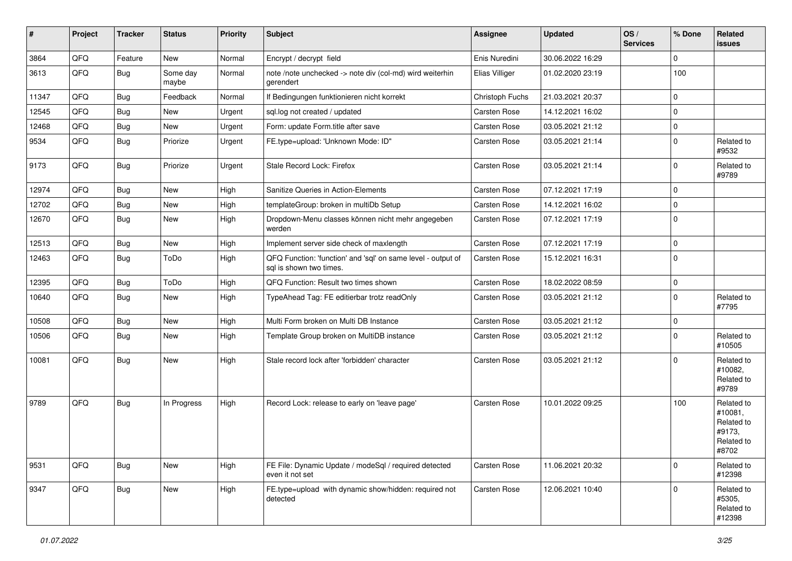| #     | Project | <b>Tracker</b> | <b>Status</b>     | <b>Priority</b> | <b>Subject</b>                                                                          | <b>Assignee</b> | <b>Updated</b>   | OS/<br><b>Services</b> | % Done      | Related<br>issues                                                    |
|-------|---------|----------------|-------------------|-----------------|-----------------------------------------------------------------------------------------|-----------------|------------------|------------------------|-------------|----------------------------------------------------------------------|
| 3864  | QFQ     | Feature        | New               | Normal          | Encrypt / decrypt field                                                                 | Enis Nuredini   | 30.06.2022 16:29 |                        | $\mathbf 0$ |                                                                      |
| 3613  | QFQ     | Bug            | Some day<br>maybe | Normal          | note /note unchecked -> note div (col-md) wird weiterhin<br>gerendert                   | Elias Villiger  | 01.02.2020 23:19 |                        | 100         |                                                                      |
| 11347 | QFQ     | <b>Bug</b>     | Feedback          | Normal          | If Bedingungen funktionieren nicht korrekt                                              | Christoph Fuchs | 21.03.2021 20:37 |                        | $\mathbf 0$ |                                                                      |
| 12545 | QFQ     | <b>Bug</b>     | New               | Urgent          | sql.log not created / updated                                                           | Carsten Rose    | 14.12.2021 16:02 |                        | $\mathbf 0$ |                                                                      |
| 12468 | QFQ     | <b>Bug</b>     | New               | Urgent          | Form: update Form.title after save                                                      | Carsten Rose    | 03.05.2021 21:12 |                        | $\mathbf 0$ |                                                                      |
| 9534  | QFQ     | <b>Bug</b>     | Priorize          | Urgent          | FE.type=upload: 'Unknown Mode: ID"                                                      | Carsten Rose    | 03.05.2021 21:14 |                        | $\mathbf 0$ | Related to<br>#9532                                                  |
| 9173  | QFQ     | <b>Bug</b>     | Priorize          | Urgent          | Stale Record Lock: Firefox                                                              | Carsten Rose    | 03.05.2021 21:14 |                        | $\mathbf 0$ | Related to<br>#9789                                                  |
| 12974 | QFQ     | <b>Bug</b>     | New               | High            | Sanitize Queries in Action-Elements                                                     | Carsten Rose    | 07.12.2021 17:19 |                        | $\mathbf 0$ |                                                                      |
| 12702 | QFQ     | <b>Bug</b>     | New               | High            | templateGroup: broken in multiDb Setup                                                  | Carsten Rose    | 14.12.2021 16:02 |                        | $\mathbf 0$ |                                                                      |
| 12670 | QFQ     | <b>Bug</b>     | New               | High            | Dropdown-Menu classes können nicht mehr angegeben<br>werden                             | Carsten Rose    | 07.12.2021 17:19 |                        | $\mathbf 0$ |                                                                      |
| 12513 | QFQ     | <b>Bug</b>     | New               | High            | Implement server side check of maxlength                                                | Carsten Rose    | 07.12.2021 17:19 |                        | $\mathbf 0$ |                                                                      |
| 12463 | QFQ     | Bug            | ToDo              | High            | QFQ Function: 'function' and 'sql' on same level - output of<br>sql is shown two times. | Carsten Rose    | 15.12.2021 16:31 |                        | $\mathbf 0$ |                                                                      |
| 12395 | QFQ     | Bug            | ToDo              | High            | QFQ Function: Result two times shown                                                    | Carsten Rose    | 18.02.2022 08:59 |                        | $\mathbf 0$ |                                                                      |
| 10640 | QFQ     | Bug            | New               | High            | TypeAhead Tag: FE editierbar trotz readOnly                                             | Carsten Rose    | 03.05.2021 21:12 |                        | $\mathbf 0$ | Related to<br>#7795                                                  |
| 10508 | QFQ     | <b>Bug</b>     | New               | High            | Multi Form broken on Multi DB Instance                                                  | Carsten Rose    | 03.05.2021 21:12 |                        | $\mathbf 0$ |                                                                      |
| 10506 | QFQ     | <b>Bug</b>     | New               | High            | Template Group broken on MultiDB instance                                               | Carsten Rose    | 03.05.2021 21:12 |                        | $\mathbf 0$ | Related to<br>#10505                                                 |
| 10081 | QFQ     | <b>Bug</b>     | New               | High            | Stale record lock after 'forbidden' character                                           | Carsten Rose    | 03.05.2021 21:12 |                        | $\mathbf 0$ | Related to<br>#10082,<br>Related to<br>#9789                         |
| 9789  | QFQ     | <b>Bug</b>     | In Progress       | High            | Record Lock: release to early on 'leave page'                                           | Carsten Rose    | 10.01.2022 09:25 |                        | 100         | Related to<br>#10081,<br>Related to<br>#9173,<br>Related to<br>#8702 |
| 9531  | QFQ     | Bug            | New               | High            | FE File: Dynamic Update / modeSql / required detected<br>even it not set                | Carsten Rose    | 11.06.2021 20:32 |                        | $\mathbf 0$ | Related to<br>#12398                                                 |
| 9347  | QFQ     | <b>Bug</b>     | New               | High            | FE.type=upload with dynamic show/hidden: required not<br>detected                       | Carsten Rose    | 12.06.2021 10:40 |                        | $\mathbf 0$ | Related to<br>#5305,<br>Related to<br>#12398                         |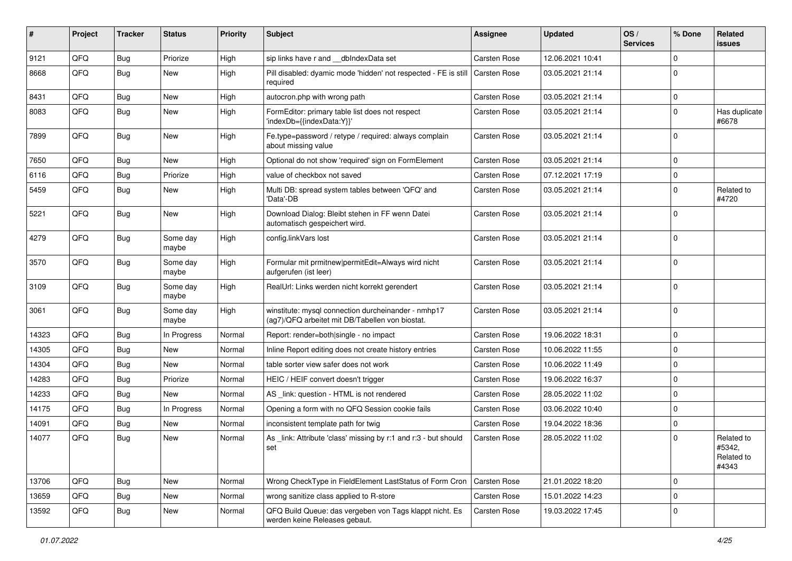| #     | Project | <b>Tracker</b> | <b>Status</b>     | <b>Priority</b> | Subject                                                                                                | <b>Assignee</b>     | <b>Updated</b>   | OS/<br><b>Services</b> | % Done      | Related<br><b>issues</b>                    |
|-------|---------|----------------|-------------------|-----------------|--------------------------------------------------------------------------------------------------------|---------------------|------------------|------------------------|-------------|---------------------------------------------|
| 9121  | QFQ     | <b>Bug</b>     | Priorize          | High            | sip links have r and __dbIndexData set                                                                 | Carsten Rose        | 12.06.2021 10:41 |                        | $\mathbf 0$ |                                             |
| 8668  | QFQ     | <b>Bug</b>     | New               | High            | Pill disabled: dyamic mode 'hidden' not respected - FE is still<br>required                            | Carsten Rose        | 03.05.2021 21:14 |                        | $\mathbf 0$ |                                             |
| 8431  | QFQ     | Bug            | New               | High            | autocron.php with wrong path                                                                           | Carsten Rose        | 03.05.2021 21:14 |                        | $\mathbf 0$ |                                             |
| 8083  | QFQ     | Bug            | New               | High            | FormEditor: primary table list does not respect<br>'indexDb={{indexData:Y}}'                           | Carsten Rose        | 03.05.2021 21:14 |                        | 0           | Has duplicate<br>#6678                      |
| 7899  | QFQ     | <b>Bug</b>     | New               | High            | Fe.type=password / retype / required: always complain<br>about missing value                           | Carsten Rose        | 03.05.2021 21:14 |                        | $\mathbf 0$ |                                             |
| 7650  | QFQ     | Bug            | <b>New</b>        | High            | Optional do not show 'required' sign on FormElement                                                    | Carsten Rose        | 03.05.2021 21:14 |                        | $\mathbf 0$ |                                             |
| 6116  | QFQ     | Bug            | Priorize          | High            | value of checkbox not saved                                                                            | Carsten Rose        | 07.12.2021 17:19 |                        | 0           |                                             |
| 5459  | QFQ     | <b>Bug</b>     | New               | High            | Multi DB: spread system tables between 'QFQ' and<br>'Data'-DB                                          | Carsten Rose        | 03.05.2021 21:14 |                        | $\mathbf 0$ | Related to<br>#4720                         |
| 5221  | QFQ     | <b>Bug</b>     | New               | High            | Download Dialog: Bleibt stehen in FF wenn Datei<br>automatisch gespeichert wird.                       | Carsten Rose        | 03.05.2021 21:14 |                        | $\mathbf 0$ |                                             |
| 4279  | QFQ     | <b>Bug</b>     | Some day<br>maybe | High            | config.linkVars lost                                                                                   | Carsten Rose        | 03.05.2021 21:14 |                        | $\mathbf 0$ |                                             |
| 3570  | QFQ     | <b>Bug</b>     | Some day<br>maybe | High            | Formular mit prmitnew permitEdit=Always wird nicht<br>aufgerufen (ist leer)                            | Carsten Rose        | 03.05.2021 21:14 |                        | $\mathbf 0$ |                                             |
| 3109  | QFQ     | <b>Bug</b>     | Some day<br>maybe | High            | RealUrl: Links werden nicht korrekt gerendert                                                          | Carsten Rose        | 03.05.2021 21:14 |                        | $\mathbf 0$ |                                             |
| 3061  | QFQ     | <b>Bug</b>     | Some day<br>maybe | High            | winstitute: mysql connection durcheinander - nmhp17<br>(ag7)/QFQ arbeitet mit DB/Tabellen von biostat. | Carsten Rose        | 03.05.2021 21:14 |                        | $\mathbf 0$ |                                             |
| 14323 | QFQ     | <b>Bug</b>     | In Progress       | Normal          | Report: render=both single - no impact                                                                 | Carsten Rose        | 19.06.2022 18:31 |                        | $\mathbf 0$ |                                             |
| 14305 | QFQ     | Bug            | New               | Normal          | Inline Report editing does not create history entries                                                  | Carsten Rose        | 10.06.2022 11:55 |                        | $\mathbf 0$ |                                             |
| 14304 | QFQ     | <b>Bug</b>     | New               | Normal          | table sorter view safer does not work                                                                  | Carsten Rose        | 10.06.2022 11:49 |                        | $\mathbf 0$ |                                             |
| 14283 | QFQ     | Bug            | Priorize          | Normal          | HEIC / HEIF convert doesn't trigger                                                                    | Carsten Rose        | 19.06.2022 16:37 |                        | $\mathbf 0$ |                                             |
| 14233 | QFQ     | <b>Bug</b>     | New               | Normal          | AS link: question - HTML is not rendered                                                               | Carsten Rose        | 28.05.2022 11:02 |                        | $\mathbf 0$ |                                             |
| 14175 | QFQ     | <b>Bug</b>     | In Progress       | Normal          | Opening a form with no QFQ Session cookie fails                                                        | Carsten Rose        | 03.06.2022 10:40 |                        | $\mathbf 0$ |                                             |
| 14091 | QFQ     | <b>Bug</b>     | New               | Normal          | inconsistent template path for twig                                                                    | Carsten Rose        | 19.04.2022 18:36 |                        | $\mathbf 0$ |                                             |
| 14077 | QFQ     | <b>Bug</b>     | New               | Normal          | As _link: Attribute 'class' missing by r:1 and r:3 - but should<br>set                                 | Carsten Rose        | 28.05.2022 11:02 |                        | $\mathbf 0$ | Related to<br>#5342,<br>Related to<br>#4343 |
| 13706 | QFQ     | <b>Bug</b>     | New               | Normal          | Wrong CheckType in FieldElement LastStatus of Form Cron                                                | <b>Carsten Rose</b> | 21.01.2022 18:20 |                        | $\mathbf 0$ |                                             |
| 13659 | QFQ     | <b>Bug</b>     | New               | Normal          | wrong sanitize class applied to R-store                                                                | Carsten Rose        | 15.01.2022 14:23 |                        | $\mathbf 0$ |                                             |
| 13592 | QFQ     | <b>Bug</b>     | New               | Normal          | QFQ Build Queue: das vergeben von Tags klappt nicht. Es<br>werden keine Releases gebaut.               | Carsten Rose        | 19.03.2022 17:45 |                        | 0           |                                             |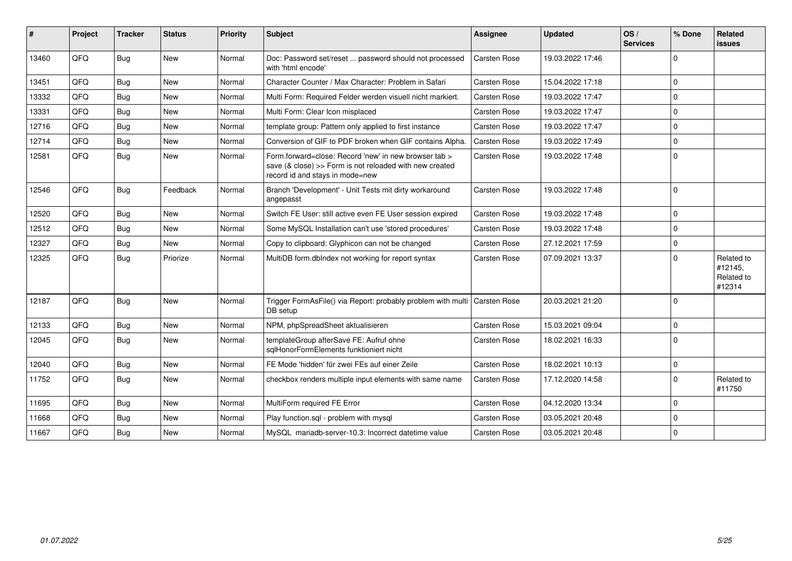| ∦     | Project | <b>Tracker</b> | <b>Status</b> | <b>Priority</b> | <b>Subject</b>                                                                                                                                      | <b>Assignee</b>     | <b>Updated</b>   | OS/<br><b>Services</b> | % Done      | Related<br><b>issues</b>                      |
|-------|---------|----------------|---------------|-----------------|-----------------------------------------------------------------------------------------------------------------------------------------------------|---------------------|------------------|------------------------|-------------|-----------------------------------------------|
| 13460 | QFQ     | Bug            | <b>New</b>    | Normal          | Doc: Password set/reset  password should not processed<br>with 'html encode'                                                                        | <b>Carsten Rose</b> | 19.03.2022 17:46 |                        | $\mathbf 0$ |                                               |
| 13451 | QFQ     | Bug            | <b>New</b>    | Normal          | Character Counter / Max Character: Problem in Safari                                                                                                | <b>Carsten Rose</b> | 15.04.2022 17:18 |                        | $\Omega$    |                                               |
| 13332 | QFQ     | Bug            | <b>New</b>    | Normal          | Multi Form: Required Felder werden visuell nicht markiert.                                                                                          | Carsten Rose        | 19.03.2022 17:47 |                        | $\Omega$    |                                               |
| 13331 | QFQ     | <b>Bug</b>     | <b>New</b>    | Normal          | Multi Form: Clear Icon misplaced                                                                                                                    | <b>Carsten Rose</b> | 19.03.2022 17:47 |                        | $\mathbf 0$ |                                               |
| 12716 | QFQ     | <b>Bug</b>     | <b>New</b>    | Normal          | template group: Pattern only applied to first instance                                                                                              | Carsten Rose        | 19.03.2022 17:47 |                        | $\mathbf 0$ |                                               |
| 12714 | QFQ     | <b>Bug</b>     | New           | Normal          | Conversion of GIF to PDF broken when GIF contains Alpha.                                                                                            | Carsten Rose        | 19.03.2022 17:49 |                        | $\mathbf 0$ |                                               |
| 12581 | QFQ     | <b>Bug</b>     | New           | Normal          | Form.forward=close: Record 'new' in new browser tab ><br>save (& close) >> Form is not reloaded with new created<br>record id and stays in mode=new | Carsten Rose        | 19.03.2022 17:48 |                        | $\mathbf 0$ |                                               |
| 12546 | QFQ     | Bug            | Feedback      | Normal          | Branch 'Development' - Unit Tests mit dirty workaround<br>angepasst                                                                                 | <b>Carsten Rose</b> | 19.03.2022 17:48 |                        | $\mathbf 0$ |                                               |
| 12520 | QFQ     | <b>Bug</b>     | <b>New</b>    | Normal          | Switch FE User: still active even FE User session expired                                                                                           | Carsten Rose        | 19.03.2022 17:48 |                        | $\Omega$    |                                               |
| 12512 | QFQ     | <b>Bug</b>     | <b>New</b>    | Normal          | Some MySQL Installation can't use 'stored procedures'                                                                                               | <b>Carsten Rose</b> | 19.03.2022 17:48 |                        | $\mathbf 0$ |                                               |
| 12327 | QFQ     | Bug            | <b>New</b>    | Normal          | Copy to clipboard: Glyphicon can not be changed                                                                                                     | Carsten Rose        | 27.12.2021 17:59 |                        | $\mathbf 0$ |                                               |
| 12325 | QFQ     | Bug            | Priorize      | Normal          | MultiDB form.dblndex not working for report syntax                                                                                                  | Carsten Rose        | 07.09.2021 13:37 |                        | $\Omega$    | Related to<br>#12145,<br>Related to<br>#12314 |
| 12187 | QFQ     | <b>Bug</b>     | <b>New</b>    | Normal          | Trigger FormAsFile() via Report: probably problem with multi<br>DB setup                                                                            | <b>Carsten Rose</b> | 20.03.2021 21:20 |                        | $\mathbf 0$ |                                               |
| 12133 | QFQ     | <b>Bug</b>     | New           | Normal          | NPM, phpSpreadSheet aktualisieren                                                                                                                   | Carsten Rose        | 15.03.2021 09:04 |                        | $\Omega$    |                                               |
| 12045 | QFQ     | <b>Bug</b>     | <b>New</b>    | Normal          | templateGroup afterSave FE: Aufruf ohne<br>salHonorFormElements funktioniert nicht                                                                  | Carsten Rose        | 18.02.2021 16:33 |                        | $\mathbf 0$ |                                               |
| 12040 | QFQ     | <b>Bug</b>     | New           | Normal          | FE Mode 'hidden' für zwei FEs auf einer Zeile                                                                                                       | Carsten Rose        | 18.02.2021 10:13 |                        | $\mathbf 0$ |                                               |
| 11752 | QFQ     | <b>Bug</b>     | New           | Normal          | checkbox renders multiple input elements with same name                                                                                             | Carsten Rose        | 17.12.2020 14:58 |                        | $\mathbf 0$ | Related to<br>#11750                          |
| 11695 | QFQ     | Bug            | <b>New</b>    | Normal          | MultiForm required FE Error                                                                                                                         | <b>Carsten Rose</b> | 04.12.2020 13:34 |                        | $\Omega$    |                                               |
| 11668 | QFQ     | Bug            | New           | Normal          | Play function.sql - problem with mysql                                                                                                              | Carsten Rose        | 03.05.2021 20:48 |                        | $\mathbf 0$ |                                               |
| 11667 | QFQ     | <b>Bug</b>     | New           | Normal          | MySQL mariadb-server-10.3: Incorrect datetime value                                                                                                 | Carsten Rose        | 03.05.2021 20:48 |                        | $\mathbf 0$ |                                               |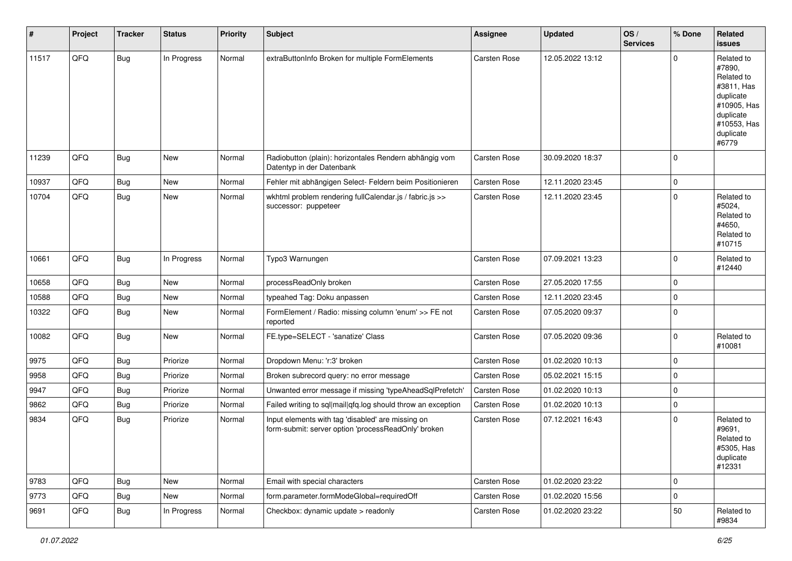| $\vert$ # | Project | <b>Tracker</b> | <b>Status</b> | <b>Priority</b> | <b>Subject</b>                                                                                           | <b>Assignee</b>     | Updated          | OS/<br><b>Services</b> | % Done              | Related<br><b>issues</b>                                                                                                       |
|-----------|---------|----------------|---------------|-----------------|----------------------------------------------------------------------------------------------------------|---------------------|------------------|------------------------|---------------------|--------------------------------------------------------------------------------------------------------------------------------|
| 11517     | QFQ     | <b>Bug</b>     | In Progress   | Normal          | extraButtonInfo Broken for multiple FormElements                                                         | <b>Carsten Rose</b> | 12.05.2022 13:12 |                        | $\Omega$            | Related to<br>#7890,<br>Related to<br>#3811, Has<br>duplicate<br>#10905, Has<br>duplicate<br>#10553, Has<br>duplicate<br>#6779 |
| 11239     | QFQ     | <b>Bug</b>     | New           | Normal          | Radiobutton (plain): horizontales Rendern abhängig vom<br>Datentyp in der Datenbank                      | <b>Carsten Rose</b> | 30.09.2020 18:37 |                        | 0                   |                                                                                                                                |
| 10937     | QFQ     | Bug            | <b>New</b>    | Normal          | Fehler mit abhängigen Select- Feldern beim Positionieren                                                 | Carsten Rose        | 12.11.2020 23:45 |                        | 0                   |                                                                                                                                |
| 10704     | QFQ     | <b>Bug</b>     | New           | Normal          | wkhtml problem rendering fullCalendar.js / fabric.js >><br>successor: puppeteer                          | Carsten Rose        | 12.11.2020 23:45 |                        | 0                   | Related to<br>#5024,<br>Related to<br>#4650,<br>Related to<br>#10715                                                           |
| 10661     | QFQ     | <b>Bug</b>     | In Progress   | Normal          | Typo3 Warnungen                                                                                          | <b>Carsten Rose</b> | 07.09.2021 13:23 |                        | 0                   | Related to<br>#12440                                                                                                           |
| 10658     | QFQ     | Bug            | New           | Normal          | processReadOnly broken                                                                                   | <b>Carsten Rose</b> | 27.05.2020 17:55 |                        | 0                   |                                                                                                                                |
| 10588     | QFQ     | <b>Bug</b>     | New           | Normal          | typeahed Tag: Doku anpassen                                                                              | Carsten Rose        | 12.11.2020 23:45 |                        | $\mathbf 0$         |                                                                                                                                |
| 10322     | QFQ     | <b>Bug</b>     | New           | Normal          | FormElement / Radio: missing column 'enum' >> FE not<br>reported                                         | Carsten Rose        | 07.05.2020 09:37 |                        | $\Omega$            |                                                                                                                                |
| 10082     | QFQ     | <b>Bug</b>     | New           | Normal          | FE.type=SELECT - 'sanatize' Class                                                                        | Carsten Rose        | 07.05.2020 09:36 |                        | 0                   | Related to<br>#10081                                                                                                           |
| 9975      | QFQ     | <b>Bug</b>     | Priorize      | Normal          | Dropdown Menu: 'r:3' broken                                                                              | Carsten Rose        | 01.02.2020 10:13 |                        | 0                   |                                                                                                                                |
| 9958      | QFQ     | <b>Bug</b>     | Priorize      | Normal          | Broken subrecord query: no error message                                                                 | Carsten Rose        | 05.02.2021 15:15 |                        | $\overline{0}$      |                                                                                                                                |
| 9947      | QFQ     | <b>Bug</b>     | Priorize      | Normal          | Unwanted error message if missing 'typeAheadSqlPrefetch'                                                 | Carsten Rose        | 01.02.2020 10:13 |                        | 0                   |                                                                                                                                |
| 9862      | QFQ     | <b>Bug</b>     | Priorize      | Normal          | Failed writing to sql mail qfq.log should throw an exception                                             | Carsten Rose        | 01.02.2020 10:13 |                        | $\mathbf 0$         |                                                                                                                                |
| 9834      | QFQ     | <b>Bug</b>     | Priorize      | Normal          | Input elements with tag 'disabled' are missing on<br>form-submit: server option 'processReadOnly' broken | Carsten Rose        | 07.12.2021 16:43 |                        | $\Omega$            | Related to<br>#9691,<br>Related to<br>#5305, Has<br>duplicate<br>#12331                                                        |
| 9783      | QFQ     | Bug            | New           | Normal          | Email with special characters                                                                            | Carsten Rose        | 01.02.2020 23:22 |                        | $\mathsf{O}\xspace$ |                                                                                                                                |
| 9773      | QFQ     | <b>Bug</b>     | New           | Normal          | form.parameter.formModeGlobal=requiredOff                                                                | Carsten Rose        | 01.02.2020 15:56 |                        | 0                   |                                                                                                                                |
| 9691      | QFQ     | <b>Bug</b>     | In Progress   | Normal          | Checkbox: dynamic update > readonly                                                                      | Carsten Rose        | 01.02.2020 23:22 |                        | 50                  | Related to<br>#9834                                                                                                            |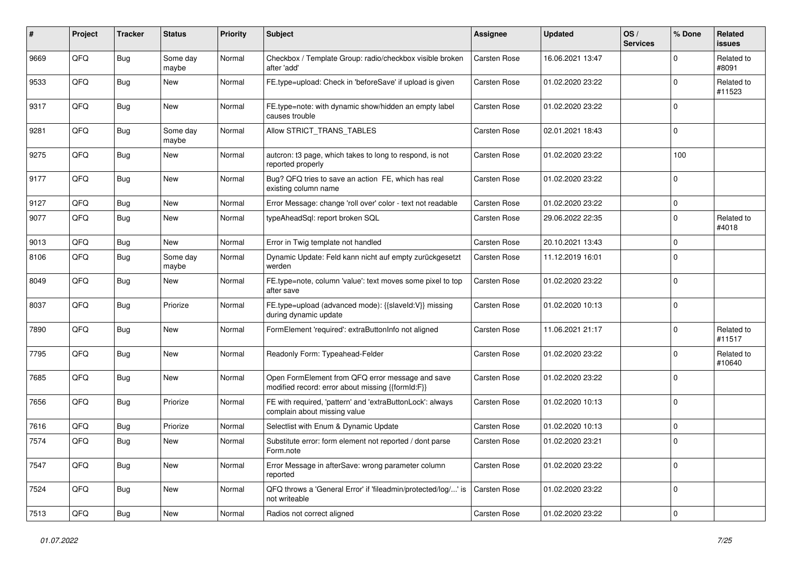| #    | Project | <b>Tracker</b> | <b>Status</b>     | <b>Priority</b> | <b>Subject</b>                                                                                        | <b>Assignee</b>     | <b>Updated</b>   | OS/<br><b>Services</b> | % Done      | Related<br><b>issues</b> |
|------|---------|----------------|-------------------|-----------------|-------------------------------------------------------------------------------------------------------|---------------------|------------------|------------------------|-------------|--------------------------|
| 9669 | QFQ     | <b>Bug</b>     | Some day<br>maybe | Normal          | Checkbox / Template Group: radio/checkbox visible broken<br>after 'add'                               | <b>Carsten Rose</b> | 16.06.2021 13:47 |                        | $\Omega$    | Related to<br>#8091      |
| 9533 | QFQ     | <b>Bug</b>     | New               | Normal          | FE.type=upload: Check in 'beforeSave' if upload is given                                              | Carsten Rose        | 01.02.2020 23:22 |                        | $\Omega$    | Related to<br>#11523     |
| 9317 | QFQ     | <b>Bug</b>     | <b>New</b>        | Normal          | FE.type=note: with dynamic show/hidden an empty label<br>causes trouble                               | Carsten Rose        | 01.02.2020 23:22 |                        | $\Omega$    |                          |
| 9281 | QFQ     | <b>Bug</b>     | Some day<br>maybe | Normal          | Allow STRICT_TRANS_TABLES                                                                             | Carsten Rose        | 02.01.2021 18:43 |                        | $\mathbf 0$ |                          |
| 9275 | QFQ     | <b>Bug</b>     | <b>New</b>        | Normal          | autcron: t3 page, which takes to long to respond, is not<br>reported properly                         | Carsten Rose        | 01.02.2020 23:22 |                        | 100         |                          |
| 9177 | QFQ     | <b>Bug</b>     | <b>New</b>        | Normal          | Bug? QFQ tries to save an action FE, which has real<br>existing column name                           | Carsten Rose        | 01.02.2020 23:22 |                        | $\Omega$    |                          |
| 9127 | QFQ     | <b>Bug</b>     | <b>New</b>        | Normal          | Error Message: change 'roll over' color - text not readable                                           | Carsten Rose        | 01.02.2020 23:22 |                        | $\mathbf 0$ |                          |
| 9077 | QFQ     | <b>Bug</b>     | New               | Normal          | typeAheadSql: report broken SQL                                                                       | Carsten Rose        | 29.06.2022 22:35 |                        | $\mathbf 0$ | Related to<br>#4018      |
| 9013 | QFQ     | <b>Bug</b>     | New               | Normal          | Error in Twig template not handled                                                                    | Carsten Rose        | 20.10.2021 13:43 |                        | $\mathbf 0$ |                          |
| 8106 | QFQ     | <b>Bug</b>     | Some day<br>maybe | Normal          | Dynamic Update: Feld kann nicht auf empty zurückgesetzt<br>werden                                     | Carsten Rose        | 11.12.2019 16:01 |                        | $\Omega$    |                          |
| 8049 | QFQ     | <b>Bug</b>     | New               | Normal          | FE.type=note, column 'value': text moves some pixel to top<br>after save                              | <b>Carsten Rose</b> | 01.02.2020 23:22 |                        | $\Omega$    |                          |
| 8037 | QFQ     | <b>Bug</b>     | Priorize          | Normal          | FE.type=upload (advanced mode): {{slaveld:V}} missing<br>during dynamic update                        | Carsten Rose        | 01.02.2020 10:13 |                        | $\mathbf 0$ |                          |
| 7890 | QFQ     | <b>Bug</b>     | New               | Normal          | FormElement 'required': extraButtonInfo not aligned                                                   | Carsten Rose        | 11.06.2021 21:17 |                        | $\Omega$    | Related to<br>#11517     |
| 7795 | QFQ     | <b>Bug</b>     | <b>New</b>        | Normal          | Readonly Form: Typeahead-Felder                                                                       | Carsten Rose        | 01.02.2020 23:22 |                        | $\Omega$    | Related to<br>#10640     |
| 7685 | QFQ     | <b>Bug</b>     | New               | Normal          | Open FormElement from QFQ error message and save<br>modified record: error about missing {{formId:F}} | Carsten Rose        | 01.02.2020 23:22 |                        | $\Omega$    |                          |
| 7656 | QFQ     | <b>Bug</b>     | Priorize          | Normal          | FE with required, 'pattern' and 'extraButtonLock': always<br>complain about missing value             | Carsten Rose        | 01.02.2020 10:13 |                        | $\Omega$    |                          |
| 7616 | QFQ     | <b>Bug</b>     | Priorize          | Normal          | Selectlist with Enum & Dynamic Update                                                                 | <b>Carsten Rose</b> | 01.02.2020 10:13 |                        | $\pmb{0}$   |                          |
| 7574 | QFQ     | <b>Bug</b>     | New               | Normal          | Substitute error: form element not reported / dont parse<br>Form.note                                 | Carsten Rose        | 01.02.2020 23:21 |                        | 0           |                          |
| 7547 | QFQ     | <b>Bug</b>     | New               | Normal          | Error Message in afterSave: wrong parameter column<br>reported                                        | Carsten Rose        | 01.02.2020 23:22 |                        | $\Omega$    |                          |
| 7524 | QFQ     | <b>Bug</b>     | New               | Normal          | QFQ throws a 'General Error' if 'fileadmin/protected/log/' is<br>not writeable                        | Carsten Rose        | 01.02.2020 23:22 |                        | $\mathbf 0$ |                          |
| 7513 | QFQ     | Bug            | New               | Normal          | Radios not correct aligned                                                                            | Carsten Rose        | 01.02.2020 23:22 |                        | $\pmb{0}$   |                          |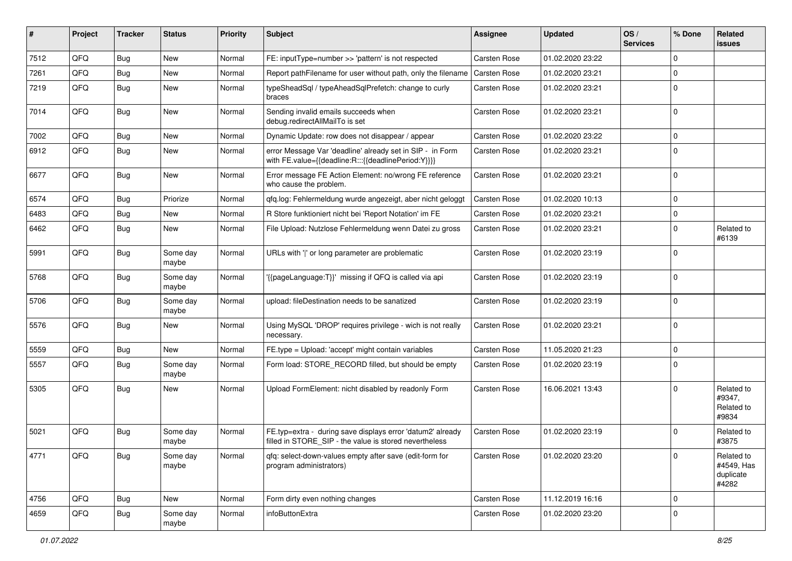| #    | Project | <b>Tracker</b> | <b>Status</b>     | <b>Priority</b> | Subject                                                                                                              | <b>Assignee</b>     | <b>Updated</b>   | OS/<br><b>Services</b> | % Done      | Related<br><b>issues</b>                       |
|------|---------|----------------|-------------------|-----------------|----------------------------------------------------------------------------------------------------------------------|---------------------|------------------|------------------------|-------------|------------------------------------------------|
| 7512 | QFQ     | <b>Bug</b>     | <b>New</b>        | Normal          | FE: inputType=number >> 'pattern' is not respected                                                                   | <b>Carsten Rose</b> | 01.02.2020 23:22 |                        | $\mathbf 0$ |                                                |
| 7261 | QFQ     | <b>Bug</b>     | New               | Normal          | Report pathFilename for user without path, only the filename                                                         | <b>Carsten Rose</b> | 01.02.2020 23:21 |                        | $\mathbf 0$ |                                                |
| 7219 | QFQ     | <b>Bug</b>     | New               | Normal          | typeSheadSql / typeAheadSqlPrefetch: change to curly<br>braces                                                       | Carsten Rose        | 01.02.2020 23:21 |                        | $\mathbf 0$ |                                                |
| 7014 | QFQ     | <b>Bug</b>     | <b>New</b>        | Normal          | Sending invalid emails succeeds when<br>debug.redirectAllMailTo is set                                               | Carsten Rose        | 01.02.2020 23:21 |                        | $\mathbf 0$ |                                                |
| 7002 | QFQ     | <b>Bug</b>     | <b>New</b>        | Normal          | Dynamic Update: row does not disappear / appear                                                                      | Carsten Rose        | 01.02.2020 23:22 |                        | $\mathbf 0$ |                                                |
| 6912 | QFQ     | <b>Bug</b>     | New               | Normal          | error Message Var 'deadline' already set in SIP - in Form<br>with FE.value={{deadline:R:::{{deadlinePeriod:Y}}}}     | Carsten Rose        | 01.02.2020 23:21 |                        | $\Omega$    |                                                |
| 6677 | QFQ     | Bug            | <b>New</b>        | Normal          | Error message FE Action Element: no/wrong FE reference<br>who cause the problem.                                     | Carsten Rose        | 01.02.2020 23:21 |                        | $\mathbf 0$ |                                                |
| 6574 | QFQ     | <b>Bug</b>     | Priorize          | Normal          | qfq.log: Fehlermeldung wurde angezeigt, aber nicht geloggt                                                           | Carsten Rose        | 01.02.2020 10:13 |                        | $\mathbf 0$ |                                                |
| 6483 | QFQ     | <b>Bug</b>     | <b>New</b>        | Normal          | R Store funktioniert nicht bei 'Report Notation' im FE                                                               | Carsten Rose        | 01.02.2020 23:21 |                        | $\mathbf 0$ |                                                |
| 6462 | QFQ     | <b>Bug</b>     | New               | Normal          | File Upload: Nutzlose Fehlermeldung wenn Datei zu gross                                                              | Carsten Rose        | 01.02.2020 23:21 |                        | 0           | Related to<br>#6139                            |
| 5991 | QFQ     | <b>Bug</b>     | Some day<br>maybe | Normal          | URLs with 'I' or long parameter are problematic                                                                      | Carsten Rose        | 01.02.2020 23:19 |                        | $\mathbf 0$ |                                                |
| 5768 | QFQ     | <b>Bug</b>     | Some day<br>maybe | Normal          | '{{pageLanguage:T}}' missing if QFQ is called via api                                                                | <b>Carsten Rose</b> | 01.02.2020 23:19 |                        | $\mathbf 0$ |                                                |
| 5706 | QFQ     | <b>Bug</b>     | Some day<br>maybe | Normal          | upload: fileDestination needs to be sanatized                                                                        | Carsten Rose        | 01.02.2020 23:19 |                        | $\mathbf 0$ |                                                |
| 5576 | QFQ     | <b>Bug</b>     | New               | Normal          | Using MySQL 'DROP' requires privilege - wich is not really<br>necessary.                                             | Carsten Rose        | 01.02.2020 23:21 |                        | $\mathbf 0$ |                                                |
| 5559 | QFQ     | <b>Bug</b>     | New               | Normal          | FE.type = Upload: 'accept' might contain variables                                                                   | Carsten Rose        | 11.05.2020 21:23 |                        | $\mathbf 0$ |                                                |
| 5557 | QFQ     | <b>Bug</b>     | Some day<br>maybe | Normal          | Form load: STORE_RECORD filled, but should be empty                                                                  | Carsten Rose        | 01.02.2020 23:19 |                        | 0           |                                                |
| 5305 | QFQ     | <b>Bug</b>     | New               | Normal          | Upload FormElement: nicht disabled by readonly Form                                                                  | Carsten Rose        | 16.06.2021 13:43 |                        | $\mathbf 0$ | Related to<br>#9347,<br>Related to<br>#9834    |
| 5021 | QFQ     | <b>Bug</b>     | Some day<br>maybe | Normal          | FE.typ=extra - during save displays error 'datum2' already<br>filled in STORE_SIP - the value is stored nevertheless | Carsten Rose        | 01.02.2020 23:19 |                        | $\mathbf 0$ | Related to<br>#3875                            |
| 4771 | QFQ     | <b>Bug</b>     | Some day<br>maybe | Normal          | qfq: select-down-values empty after save (edit-form for<br>program administrators)                                   | Carsten Rose        | 01.02.2020 23:20 |                        | $\mathbf 0$ | Related to<br>#4549, Has<br>duplicate<br>#4282 |
| 4756 | QFQ     | Bug            | New               | Normal          | Form dirty even nothing changes                                                                                      | Carsten Rose        | 11.12.2019 16:16 |                        | $\mathbf 0$ |                                                |
| 4659 | QFQ     | <b>Bug</b>     | Some day<br>maybe | Normal          | infoButtonExtra                                                                                                      | Carsten Rose        | 01.02.2020 23:20 |                        | $\pmb{0}$   |                                                |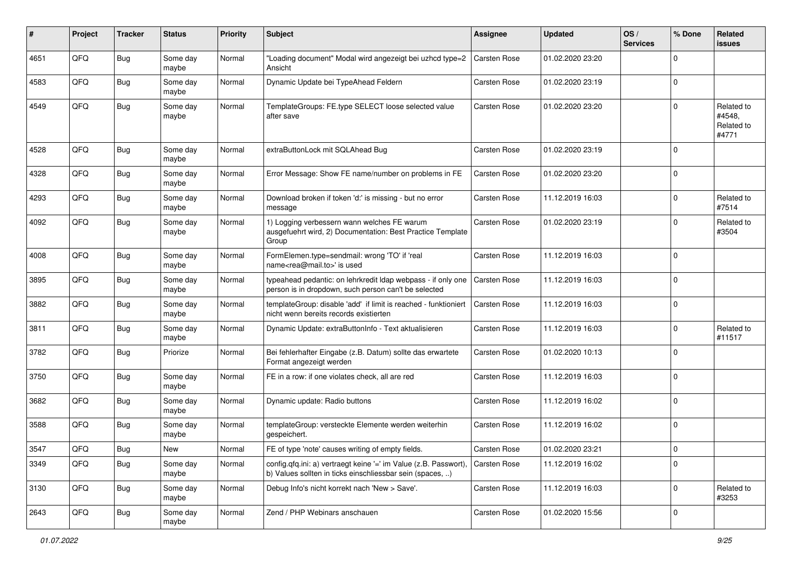| #    | Project | <b>Tracker</b> | <b>Status</b>     | <b>Priority</b> | <b>Subject</b>                                                                                                                             | <b>Assignee</b>     | <b>Updated</b>   | OS/<br><b>Services</b> | % Done      | Related<br><b>issues</b>                    |
|------|---------|----------------|-------------------|-----------------|--------------------------------------------------------------------------------------------------------------------------------------------|---------------------|------------------|------------------------|-------------|---------------------------------------------|
| 4651 | QFQ     | Bug            | Some day<br>maybe | Normal          | "Loading document" Modal wird angezeigt bei uzhcd type=2<br>Ansicht                                                                        | Carsten Rose        | 01.02.2020 23:20 |                        | $\Omega$    |                                             |
| 4583 | QFQ     | Bug            | Some day<br>maybe | Normal          | Dynamic Update bei TypeAhead Feldern                                                                                                       | <b>Carsten Rose</b> | 01.02.2020 23:19 |                        | $\Omega$    |                                             |
| 4549 | QFQ     | Bug            | Some day<br>maybe | Normal          | TemplateGroups: FE.type SELECT loose selected value<br>after save                                                                          | <b>Carsten Rose</b> | 01.02.2020 23:20 |                        | $\Omega$    | Related to<br>#4548,<br>Related to<br>#4771 |
| 4528 | QFQ     | Bug            | Some day<br>maybe | Normal          | extraButtonLock mit SQLAhead Bug                                                                                                           | <b>Carsten Rose</b> | 01.02.2020 23:19 |                        | $\Omega$    |                                             |
| 4328 | QFQ     | Bug            | Some day<br>maybe | Normal          | Error Message: Show FE name/number on problems in FE                                                                                       | Carsten Rose        | 01.02.2020 23:20 |                        | $\Omega$    |                                             |
| 4293 | QFQ     | Bug            | Some day<br>maybe | Normal          | Download broken if token 'd:' is missing - but no error<br>message                                                                         | <b>Carsten Rose</b> | 11.12.2019 16:03 |                        | 0           | Related to<br>#7514                         |
| 4092 | QFQ     | Bug            | Some day<br>maybe | Normal          | 1) Logging verbessern wann welches FE warum<br>ausgefuehrt wird, 2) Documentation: Best Practice Template<br>Group                         | Carsten Rose        | 01.02.2020 23:19 |                        | 0           | Related to<br>#3504                         |
| 4008 | QFQ     | Bug            | Some day<br>maybe | Normal          | FormElemen.type=sendmail: wrong 'TO' if 'real<br>name <rea@mail.to>' is used</rea@mail.to>                                                 | <b>Carsten Rose</b> | 11.12.2019 16:03 |                        | $\Omega$    |                                             |
| 3895 | QFQ     | Bug            | Some day<br>maybe | Normal          | typeahead pedantic: on lehrkredit Idap webpass - if only one<br>person is in dropdown, such person can't be selected                       | <b>Carsten Rose</b> | 11.12.2019 16:03 |                        | $\Omega$    |                                             |
| 3882 | QFQ     | Bug            | Some day<br>maybe | Normal          | templateGroup: disable 'add' if limit is reached - funktioniert<br>nicht wenn bereits records existierten                                  | <b>Carsten Rose</b> | 11.12.2019 16:03 |                        | 0           |                                             |
| 3811 | QFQ     | <b>Bug</b>     | Some day<br>maybe | Normal          | Dynamic Update: extraButtonInfo - Text aktualisieren                                                                                       | <b>Carsten Rose</b> | 11.12.2019 16:03 |                        | 0           | Related to<br>#11517                        |
| 3782 | QFQ     | Bug            | Priorize          | Normal          | Bei fehlerhafter Eingabe (z.B. Datum) sollte das erwartete<br>Format angezeigt werden                                                      | Carsten Rose        | 01.02.2020 10:13 |                        | $\Omega$    |                                             |
| 3750 | QFQ     | Bug            | Some day<br>maybe | Normal          | FE in a row: if one violates check, all are red                                                                                            | <b>Carsten Rose</b> | 11.12.2019 16:03 |                        | $\Omega$    |                                             |
| 3682 | QFQ     | Bug            | Some day<br>maybe | Normal          | Dynamic update: Radio buttons                                                                                                              | Carsten Rose        | 11.12.2019 16:02 |                        | $\Omega$    |                                             |
| 3588 | QFQ     | Bug            | Some day<br>maybe | Normal          | templateGroup: versteckte Elemente werden weiterhin<br>gespeichert.                                                                        | <b>Carsten Rose</b> | 11.12.2019 16:02 |                        | 0           |                                             |
| 3547 | QFQ     | Bug            | New               | Normal          | FE of type 'note' causes writing of empty fields.                                                                                          | Carsten Rose        | 01.02.2020 23:21 |                        | $\pmb{0}$   |                                             |
| 3349 | QFQ     | Bug            | Some day<br>maybe | Normal          | config.qfq.ini: a) vertraegt keine '=' im Value (z.B. Passwort), Carsten Rose<br>b) Values sollten in ticks einschliessbar sein (spaces, ) |                     | 11.12.2019 16:02 |                        | $\mathbf 0$ |                                             |
| 3130 | QFQ     | Bug            | Some day<br>maybe | Normal          | Debug Info's nicht korrekt nach 'New > Save'.                                                                                              | Carsten Rose        | 11.12.2019 16:03 |                        | $\mathbf 0$ | Related to<br>#3253                         |
| 2643 | QFQ     | Bug            | Some day<br>maybe | Normal          | Zend / PHP Webinars anschauen                                                                                                              | Carsten Rose        | 01.02.2020 15:56 |                        | $\pmb{0}$   |                                             |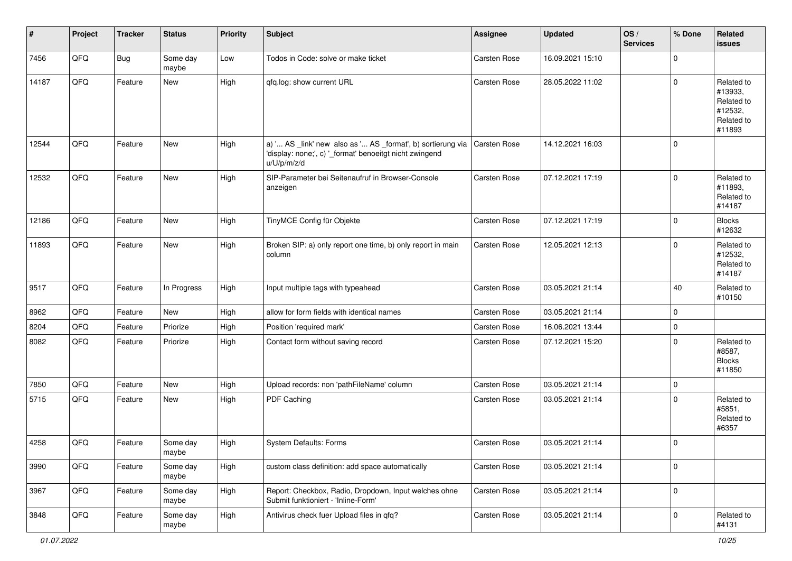| #     | Project | <b>Tracker</b> | <b>Status</b>     | <b>Priority</b> | <b>Subject</b>                                                                                                                        | <b>Assignee</b>     | <b>Updated</b>   | OS/<br><b>Services</b> | % Done      | Related<br>issues                                                      |
|-------|---------|----------------|-------------------|-----------------|---------------------------------------------------------------------------------------------------------------------------------------|---------------------|------------------|------------------------|-------------|------------------------------------------------------------------------|
| 7456  | QFQ     | <b>Bug</b>     | Some day<br>maybe | Low             | Todos in Code: solve or make ticket                                                                                                   | Carsten Rose        | 16.09.2021 15:10 |                        | $\mathbf 0$ |                                                                        |
| 14187 | QFQ     | Feature        | New               | High            | qfq.log: show current URL                                                                                                             | Carsten Rose        | 28.05.2022 11:02 |                        | $\mathbf 0$ | Related to<br>#13933,<br>Related to<br>#12532,<br>Related to<br>#11893 |
| 12544 | QFQ     | Feature        | New               | High            | a) ' AS _link' new also as ' AS _format', b) sortierung via<br>'display: none;', c) '_format' benoeitgt nicht zwingend<br>u/U/p/m/z/d | <b>Carsten Rose</b> | 14.12.2021 16:03 |                        | $\mathbf 0$ |                                                                        |
| 12532 | QFQ     | Feature        | New               | High            | SIP-Parameter bei Seitenaufruf in Browser-Console<br>anzeigen                                                                         | Carsten Rose        | 07.12.2021 17:19 |                        | $\mathbf 0$ | Related to<br>#11893,<br>Related to<br>#14187                          |
| 12186 | QFQ     | Feature        | New               | High            | TinyMCE Config für Objekte                                                                                                            | Carsten Rose        | 07.12.2021 17:19 |                        | $\mathbf 0$ | <b>Blocks</b><br>#12632                                                |
| 11893 | QFQ     | Feature        | New               | High            | Broken SIP: a) only report one time, b) only report in main<br>column                                                                 | <b>Carsten Rose</b> | 12.05.2021 12:13 |                        | $\mathbf 0$ | Related to<br>#12532,<br>Related to<br>#14187                          |
| 9517  | QFQ     | Feature        | In Progress       | High            | Input multiple tags with typeahead                                                                                                    | <b>Carsten Rose</b> | 03.05.2021 21:14 |                        | 40          | Related to<br>#10150                                                   |
| 8962  | QFQ     | Feature        | New               | High            | allow for form fields with identical names                                                                                            | <b>Carsten Rose</b> | 03.05.2021 21:14 |                        | $\mathbf 0$ |                                                                        |
| 8204  | QFQ     | Feature        | Priorize          | High            | Position 'required mark'                                                                                                              | Carsten Rose        | 16.06.2021 13:44 |                        | $\mathbf 0$ |                                                                        |
| 8082  | QFQ     | Feature        | Priorize          | High            | Contact form without saving record                                                                                                    | <b>Carsten Rose</b> | 07.12.2021 15:20 |                        | $\mathbf 0$ | Related to<br>#8587,<br><b>Blocks</b><br>#11850                        |
| 7850  | QFQ     | Feature        | New               | High            | Upload records: non 'pathFileName' column                                                                                             | Carsten Rose        | 03.05.2021 21:14 |                        | $\mathbf 0$ |                                                                        |
| 5715  | QFQ     | Feature        | New               | High            | PDF Caching                                                                                                                           | Carsten Rose        | 03.05.2021 21:14 |                        | $\Omega$    | Related to<br>#5851,<br>Related to<br>#6357                            |
| 4258  | QFQ     | Feature        | Some day<br>maybe | High            | System Defaults: Forms                                                                                                                | Carsten Rose        | 03.05.2021 21:14 |                        | $\mathbf 0$ |                                                                        |
| 3990  | QFQ     | Feature        | Some day<br>maybe | High            | custom class definition: add space automatically                                                                                      | Carsten Rose        | 03.05.2021 21:14 |                        | $\mathbf 0$ |                                                                        |
| 3967  | QFQ     | Feature        | Some day<br>maybe | High            | Report: Checkbox, Radio, Dropdown, Input welches ohne<br>Submit funktioniert - 'Inline-Form'                                          | Carsten Rose        | 03.05.2021 21:14 |                        | $\mathbf 0$ |                                                                        |
| 3848  | QFQ     | Feature        | Some day<br>maybe | High            | Antivirus check fuer Upload files in qfq?                                                                                             | Carsten Rose        | 03.05.2021 21:14 |                        | 0           | Related to<br>#4131                                                    |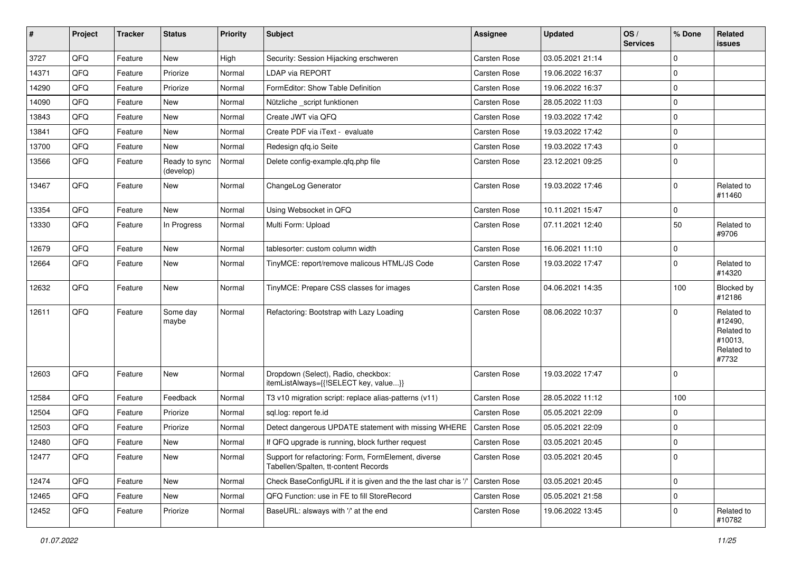| #     | Project | <b>Tracker</b> | <b>Status</b>              | <b>Priority</b> | <b>Subject</b>                                                                              | <b>Assignee</b>     | <b>Updated</b>   | OS/<br><b>Services</b> | % Done      | Related<br><b>issues</b>                                              |
|-------|---------|----------------|----------------------------|-----------------|---------------------------------------------------------------------------------------------|---------------------|------------------|------------------------|-------------|-----------------------------------------------------------------------|
| 3727  | QFQ     | Feature        | <b>New</b>                 | High            | Security: Session Hijacking erschweren                                                      | Carsten Rose        | 03.05.2021 21:14 |                        | $\mathbf 0$ |                                                                       |
| 14371 | QFQ     | Feature        | Priorize                   | Normal          | <b>LDAP via REPORT</b>                                                                      | <b>Carsten Rose</b> | 19.06.2022 16:37 |                        | 0           |                                                                       |
| 14290 | QFQ     | Feature        | Priorize                   | Normal          | FormEditor: Show Table Definition                                                           | Carsten Rose        | 19.06.2022 16:37 |                        | $\mathbf 0$ |                                                                       |
| 14090 | QFQ     | Feature        | <b>New</b>                 | Normal          | Nützliche _script funktionen                                                                | <b>Carsten Rose</b> | 28.05.2022 11:03 |                        | $\mathbf 0$ |                                                                       |
| 13843 | QFQ     | Feature        | New                        | Normal          | Create JWT via QFQ                                                                          | Carsten Rose        | 19.03.2022 17:42 |                        | $\pmb{0}$   |                                                                       |
| 13841 | QFQ     | Feature        | <b>New</b>                 | Normal          | Create PDF via iText - evaluate                                                             | Carsten Rose        | 19.03.2022 17:42 |                        | $\mathbf 0$ |                                                                       |
| 13700 | QFQ     | Feature        | New                        | Normal          | Redesign gfg.io Seite                                                                       | <b>Carsten Rose</b> | 19.03.2022 17:43 |                        | $\pmb{0}$   |                                                                       |
| 13566 | QFQ     | Feature        | Ready to sync<br>(develop) | Normal          | Delete config-example.qfq.php file                                                          | Carsten Rose        | 23.12.2021 09:25 |                        | $\mathbf 0$ |                                                                       |
| 13467 | QFQ     | Feature        | New                        | Normal          | ChangeLog Generator                                                                         | <b>Carsten Rose</b> | 19.03.2022 17:46 |                        | $\mathbf 0$ | Related to<br>#11460                                                  |
| 13354 | QFQ     | Feature        | <b>New</b>                 | Normal          | Using Websocket in QFQ                                                                      | <b>Carsten Rose</b> | 10.11.2021 15:47 |                        | $\mathbf 0$ |                                                                       |
| 13330 | QFQ     | Feature        | In Progress                | Normal          | Multi Form: Upload                                                                          | Carsten Rose        | 07.11.2021 12:40 |                        | 50          | Related to<br>#9706                                                   |
| 12679 | QFQ     | Feature        | <b>New</b>                 | Normal          | tablesorter: custom column width                                                            | <b>Carsten Rose</b> | 16.06.2021 11:10 |                        | $\mathbf 0$ |                                                                       |
| 12664 | QFQ     | Feature        | New                        | Normal          | TinyMCE: report/remove malicous HTML/JS Code                                                | <b>Carsten Rose</b> | 19.03.2022 17:47 |                        | $\mathbf 0$ | Related to<br>#14320                                                  |
| 12632 | QFQ     | Feature        | New                        | Normal          | TinyMCE: Prepare CSS classes for images                                                     | <b>Carsten Rose</b> | 04.06.2021 14:35 |                        | 100         | Blocked by<br>#12186                                                  |
| 12611 | QFQ     | Feature        | Some day<br>maybe          | Normal          | Refactoring: Bootstrap with Lazy Loading                                                    | <b>Carsten Rose</b> | 08.06.2022 10:37 |                        | $\mathbf 0$ | Related to<br>#12490,<br>Related to<br>#10013,<br>Related to<br>#7732 |
| 12603 | QFQ     | Feature        | New                        | Normal          | Dropdown (Select), Radio, checkbox:<br>itemListAlways={{!SELECT key, value}}                | <b>Carsten Rose</b> | 19.03.2022 17:47 |                        | $\mathbf 0$ |                                                                       |
| 12584 | QFQ     | Feature        | Feedback                   | Normal          | T3 v10 migration script: replace alias-patterns (v11)                                       | <b>Carsten Rose</b> | 28.05.2022 11:12 |                        | 100         |                                                                       |
| 12504 | QFQ     | Feature        | Priorize                   | Normal          | sql.log: report fe.id                                                                       | Carsten Rose        | 05.05.2021 22:09 |                        | $\mathbf 0$ |                                                                       |
| 12503 | QFQ     | Feature        | Priorize                   | Normal          | Detect dangerous UPDATE statement with missing WHERE                                        | Carsten Rose        | 05.05.2021 22:09 |                        | $\mathbf 0$ |                                                                       |
| 12480 | QFQ     | Feature        | New                        | Normal          | If QFQ upgrade is running, block further request                                            | <b>Carsten Rose</b> | 03.05.2021 20:45 |                        | $\mathbf 0$ |                                                                       |
| 12477 | QFQ     | Feature        | New                        | Normal          | Support for refactoring: Form, FormElement, diverse<br>Tabellen/Spalten, tt-content Records | Carsten Rose        | 03.05.2021 20:45 |                        | 0           |                                                                       |
| 12474 | QFQ     | Feature        | New                        | Normal          | Check BaseConfigURL if it is given and the the last char is '                               | Carsten Rose        | 03.05.2021 20:45 |                        | $\mathbf 0$ |                                                                       |
| 12465 | QFQ     | Feature        | New                        | Normal          | QFQ Function: use in FE to fill StoreRecord                                                 | Carsten Rose        | 05.05.2021 21:58 |                        | $\mathbf 0$ |                                                                       |
| 12452 | QFQ     | Feature        | Priorize                   | Normal          | BaseURL: alsways with '/' at the end                                                        | Carsten Rose        | 19.06.2022 13:45 |                        | 0           | Related to<br>#10782                                                  |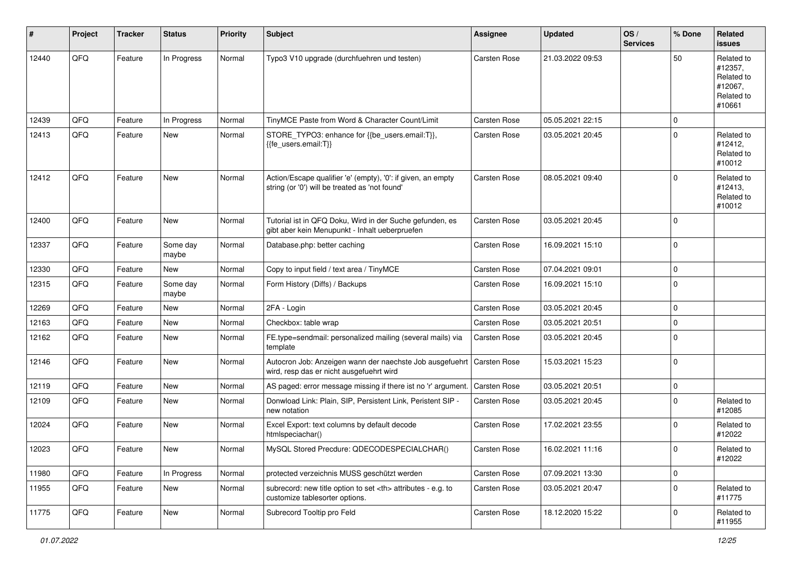| #     | Project | <b>Tracker</b> | <b>Status</b>     | <b>Priority</b> | <b>Subject</b>                                                                                                 | <b>Assignee</b>                                        | <b>Updated</b>   | OS/<br><b>Services</b> | % Done      | Related<br><b>issues</b>                                               |                      |
|-------|---------|----------------|-------------------|-----------------|----------------------------------------------------------------------------------------------------------------|--------------------------------------------------------|------------------|------------------------|-------------|------------------------------------------------------------------------|----------------------|
| 12440 | QFQ     | Feature        | In Progress       | Normal          | Typo3 V10 upgrade (durchfuehren und testen)                                                                    | <b>Carsten Rose</b>                                    | 21.03.2022 09:53 |                        | 50          | Related to<br>#12357,<br>Related to<br>#12067,<br>Related to<br>#10661 |                      |
| 12439 | QFQ     | Feature        | In Progress       | Normal          | TinyMCE Paste from Word & Character Count/Limit                                                                | <b>Carsten Rose</b>                                    | 05.05.2021 22:15 |                        | 0           |                                                                        |                      |
| 12413 | QFQ     | Feature        | New               | Normal          | STORE TYPO3: enhance for {{be users.email:T}},<br>{{fe users.email:T}}                                         | <b>Carsten Rose</b>                                    | 03.05.2021 20:45 |                        | 0           | Related to<br>#12412,<br>Related to<br>#10012                          |                      |
| 12412 | QFQ     | Feature        | <b>New</b>        | Normal          | Action/Escape qualifier 'e' (empty), '0': if given, an empty<br>string (or '0') will be treated as 'not found' | <b>Carsten Rose</b>                                    | 08.05.2021 09:40 |                        | $\Omega$    | Related to<br>#12413,<br>Related to<br>#10012                          |                      |
| 12400 | QFQ     | Feature        | <b>New</b>        | Normal          | Tutorial ist in QFQ Doku, Wird in der Suche gefunden, es<br>gibt aber kein Menupunkt - Inhalt ueberpruefen     | <b>Carsten Rose</b>                                    | 03.05.2021 20:45 |                        | 0           |                                                                        |                      |
| 12337 | QFQ     | Feature        | Some day<br>maybe | Normal          | Database.php: better caching                                                                                   | <b>Carsten Rose</b>                                    | 16.09.2021 15:10 |                        | $\Omega$    |                                                                        |                      |
| 12330 | QFQ     | Feature        | New               | Normal          | Copy to input field / text area / TinyMCE                                                                      | <b>Carsten Rose</b>                                    | 07.04.2021 09:01 |                        | $\Omega$    |                                                                        |                      |
| 12315 | QFQ     | Feature        | Some day<br>maybe | Normal          | Form History (Diffs) / Backups                                                                                 | <b>Carsten Rose</b>                                    | 16.09.2021 15:10 |                        | 0           |                                                                        |                      |
| 12269 | QFQ     | Feature        | <b>New</b>        | Normal          | 2FA - Login                                                                                                    | Carsten Rose                                           | 03.05.2021 20:45 |                        | 0           |                                                                        |                      |
| 12163 | QFQ     | Feature        | <b>New</b>        | Normal          | Checkbox: table wrap                                                                                           | Carsten Rose                                           | 03.05.2021 20:51 |                        | $\Omega$    |                                                                        |                      |
| 12162 | QFQ     | Feature        | New               | Normal          | FE.type=sendmail: personalized mailing (several mails) via<br>template                                         | <b>Carsten Rose</b>                                    | 03.05.2021 20:45 |                        | $\Omega$    |                                                                        |                      |
| 12146 | QFQ     | Feature        | New               | Normal          | Autocron Job: Anzeigen wann der naechste Job ausgefuehrt<br>wird, resp das er nicht ausgefuehrt wird           | Carsten Rose                                           | 15.03.2021 15:23 |                        | 0           |                                                                        |                      |
| 12119 | QFQ     | Feature        | <b>New</b>        | Normal          | AS paged: error message missing if there ist no 'r' argument.                                                  | <b>Carsten Rose</b>                                    | 03.05.2021 20:51 |                        | $\Omega$    |                                                                        |                      |
| 12109 | QFQ     | Feature        | New               | Normal          | Donwload Link: Plain, SIP, Persistent Link, Peristent SIP -<br>new notation                                    | <b>Carsten Rose</b>                                    | 03.05.2021 20:45 |                        | $\mathbf 0$ | Related to<br>#12085                                                   |                      |
| 12024 | QFQ     | Feature        | <b>New</b>        | Normal          | Excel Export: text columns by default decode<br>htmlspeciachar()                                               | <b>Carsten Rose</b>                                    | 17.02.2021 23:55 |                        | 0           | Related to<br>#12022                                                   |                      |
| 12023 | QFG     | Feature        | New               | Normal          | MySQL Stored Precdure: QDECODESPECIALCHAR()                                                                    | Carsten Rose                                           | 16.02.2021 11:16 |                        | $\mathbf 0$ | Related to<br>#12022                                                   |                      |
| 11980 | QFQ     | Feature        | In Progress       | Normal          | protected verzeichnis MUSS geschützt werden                                                                    | Carsten Rose                                           | 07.09.2021 13:30 |                        | 0           |                                                                        |                      |
| 11955 | QFQ     | Feature        | New               | Normal          | subrecord: new title option to set <th> attributes - e.g. to<br/>customize tablesorter options.</th>           | attributes - e.g. to<br>customize tablesorter options. | Carsten Rose     | 03.05.2021 20:47       |             | 0                                                                      | Related to<br>#11775 |
| 11775 | QFQ     | Feature        | New               | Normal          | Subrecord Tooltip pro Feld                                                                                     | Carsten Rose                                           | 18.12.2020 15:22 |                        | 0           | Related to<br>#11955                                                   |                      |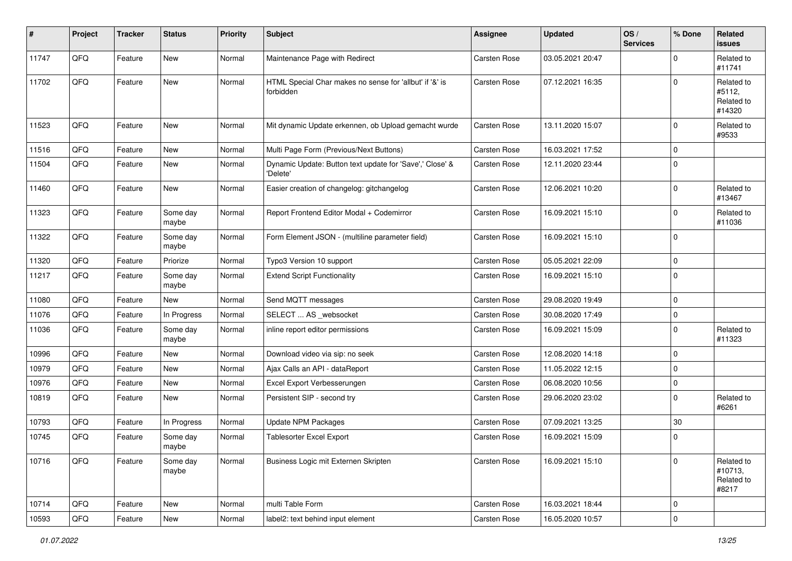| $\vert$ # | Project | <b>Tracker</b> | <b>Status</b>     | <b>Priority</b> | <b>Subject</b>                                                       | <b>Assignee</b>     | <b>Updated</b>   | OS/<br><b>Services</b> | % Done      | Related<br><b>issues</b>                     |
|-----------|---------|----------------|-------------------|-----------------|----------------------------------------------------------------------|---------------------|------------------|------------------------|-------------|----------------------------------------------|
| 11747     | QFQ     | Feature        | New               | Normal          | Maintenance Page with Redirect                                       | <b>Carsten Rose</b> | 03.05.2021 20:47 |                        | $\Omega$    | Related to<br>#11741                         |
| 11702     | QFQ     | Feature        | New               | Normal          | HTML Special Char makes no sense for 'allbut' if '&' is<br>forbidden | Carsten Rose        | 07.12.2021 16:35 |                        | 0           | Related to<br>#5112,<br>Related to<br>#14320 |
| 11523     | QFQ     | Feature        | New               | Normal          | Mit dynamic Update erkennen, ob Upload gemacht wurde                 | Carsten Rose        | 13.11.2020 15:07 |                        | 0           | Related to<br>#9533                          |
| 11516     | QFQ     | Feature        | <b>New</b>        | Normal          | Multi Page Form (Previous/Next Buttons)                              | <b>Carsten Rose</b> | 16.03.2021 17:52 |                        | $\Omega$    |                                              |
| 11504     | QFQ     | Feature        | New               | Normal          | Dynamic Update: Button text update for 'Save',' Close' &<br>'Delete' | Carsten Rose        | 12.11.2020 23:44 |                        | $\mathbf 0$ |                                              |
| 11460     | QFQ     | Feature        | New               | Normal          | Easier creation of changelog: gitchangelog                           | <b>Carsten Rose</b> | 12.06.2021 10:20 |                        | 0           | Related to<br>#13467                         |
| 11323     | QFQ     | Feature        | Some day<br>maybe | Normal          | Report Frontend Editor Modal + Codemirror                            | Carsten Rose        | 16.09.2021 15:10 |                        | $\Omega$    | Related to<br>#11036                         |
| 11322     | QFQ     | Feature        | Some day<br>maybe | Normal          | Form Element JSON - (multiline parameter field)                      | Carsten Rose        | 16.09.2021 15:10 |                        | 0           |                                              |
| 11320     | QFQ     | Feature        | Priorize          | Normal          | Typo3 Version 10 support                                             | <b>Carsten Rose</b> | 05.05.2021 22:09 |                        | 0           |                                              |
| 11217     | QFG     | Feature        | Some day<br>maybe | Normal          | <b>Extend Script Functionality</b>                                   | Carsten Rose        | 16.09.2021 15:10 |                        | 0           |                                              |
| 11080     | QFQ     | Feature        | New               | Normal          | Send MQTT messages                                                   | <b>Carsten Rose</b> | 29.08.2020 19:49 |                        | 0           |                                              |
| 11076     | QFQ     | Feature        | In Progress       | Normal          | SELECT  AS _websocket                                                | <b>Carsten Rose</b> | 30.08.2020 17:49 |                        | $\Omega$    |                                              |
| 11036     | QFQ     | Feature        | Some day<br>maybe | Normal          | inline report editor permissions                                     | <b>Carsten Rose</b> | 16.09.2021 15:09 |                        | 0           | Related to<br>#11323                         |
| 10996     | QFQ     | Feature        | New               | Normal          | Download video via sip: no seek                                      | Carsten Rose        | 12.08.2020 14:18 |                        | 0           |                                              |
| 10979     | QFQ     | Feature        | New               | Normal          | Ajax Calls an API - dataReport                                       | <b>Carsten Rose</b> | 11.05.2022 12:15 |                        | $\Omega$    |                                              |
| 10976     | QFQ     | Feature        | New               | Normal          | Excel Export Verbesserungen                                          | <b>Carsten Rose</b> | 06.08.2020 10:56 |                        | $\Omega$    |                                              |
| 10819     | QFQ     | Feature        | New               | Normal          | Persistent SIP - second try                                          | Carsten Rose        | 29.06.2020 23:02 |                        | 0           | Related to<br>#6261                          |
| 10793     | QFQ     | Feature        | In Progress       | Normal          | Update NPM Packages                                                  | <b>Carsten Rose</b> | 07.09.2021 13:25 |                        | 30          |                                              |
| 10745     | QFQ     | Feature        | Some day<br>maybe | Normal          | Tablesorter Excel Export                                             | <b>Carsten Rose</b> | 16.09.2021 15:09 |                        | 0           |                                              |
| 10716     | QFQ     | Feature        | Some day<br>maybe | Normal          | Business Logic mit Externen Skripten                                 | Carsten Rose        | 16.09.2021 15:10 |                        | $\mathbf 0$ | Related to<br>#10713,<br>Related to<br>#8217 |
| 10714     | QFQ     | Feature        | New               | Normal          | multi Table Form                                                     | Carsten Rose        | 16.03.2021 18:44 |                        | 0           |                                              |
| 10593     | QFQ     | Feature        | New               | Normal          | label2: text behind input element                                    | Carsten Rose        | 16.05.2020 10:57 |                        | 0           |                                              |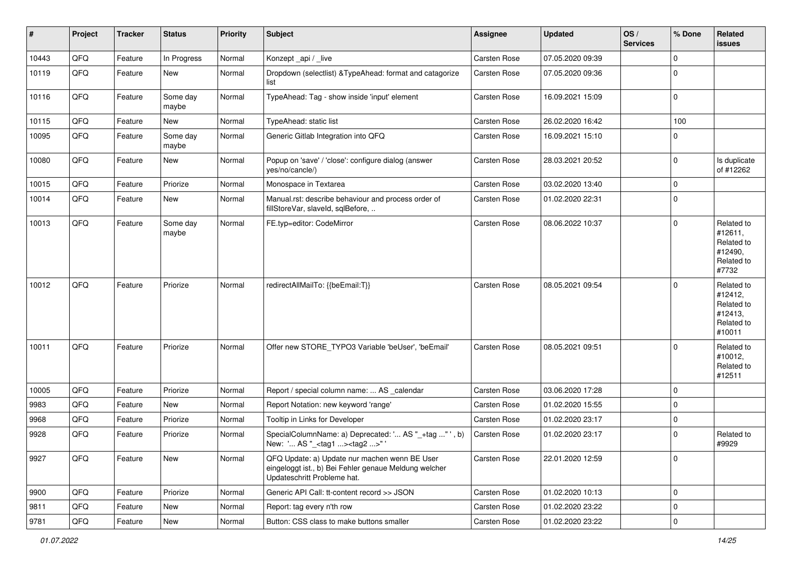| #     | Project | <b>Tracker</b> | <b>Status</b>     | <b>Priority</b> | <b>Subject</b>                                                                                                                        | <b>Assignee</b>     | <b>Updated</b>   | OS/<br><b>Services</b> | % Done      | Related<br>issues                                                      |
|-------|---------|----------------|-------------------|-----------------|---------------------------------------------------------------------------------------------------------------------------------------|---------------------|------------------|------------------------|-------------|------------------------------------------------------------------------|
| 10443 | QFQ     | Feature        | In Progress       | Normal          | Konzept_api / _live                                                                                                                   | Carsten Rose        | 07.05.2020 09:39 |                        | $\mathbf 0$ |                                                                        |
| 10119 | QFQ     | Feature        | New               | Normal          | Dropdown (selectlist) & TypeAhead: format and catagorize<br>list                                                                      | Carsten Rose        | 07.05.2020 09:36 |                        | $\Omega$    |                                                                        |
| 10116 | QFQ     | Feature        | Some day<br>maybe | Normal          | TypeAhead: Tag - show inside 'input' element                                                                                          | Carsten Rose        | 16.09.2021 15:09 |                        | $\Omega$    |                                                                        |
| 10115 | QFQ     | Feature        | <b>New</b>        | Normal          | TypeAhead: static list                                                                                                                | Carsten Rose        | 26.02.2020 16:42 |                        | 100         |                                                                        |
| 10095 | QFQ     | Feature        | Some day<br>maybe | Normal          | Generic Gitlab Integration into QFQ                                                                                                   | Carsten Rose        | 16.09.2021 15:10 |                        | $\Omega$    |                                                                        |
| 10080 | QFQ     | Feature        | <b>New</b>        | Normal          | Popup on 'save' / 'close': configure dialog (answer<br>yes/no/cancle/)                                                                | Carsten Rose        | 28.03.2021 20:52 |                        | $\Omega$    | Is duplicate<br>of #12262                                              |
| 10015 | QFQ     | Feature        | Priorize          | Normal          | Monospace in Textarea                                                                                                                 | Carsten Rose        | 03.02.2020 13:40 |                        | $\Omega$    |                                                                        |
| 10014 | QFQ     | Feature        | New               | Normal          | Manual.rst: describe behaviour and process order of<br>fillStoreVar, slaveId, sqlBefore,                                              | Carsten Rose        | 01.02.2020 22:31 |                        | $\Omega$    |                                                                        |
| 10013 | QFQ     | Feature        | Some day<br>maybe | Normal          | FE.typ=editor: CodeMirror                                                                                                             | Carsten Rose        | 08.06.2022 10:37 |                        | $\mathbf 0$ | Related to<br>#12611,<br>Related to<br>#12490,<br>Related to<br>#7732  |
| 10012 | QFQ     | Feature        | Priorize          | Normal          | redirectAllMailTo: {{beEmail:T}}                                                                                                      | <b>Carsten Rose</b> | 08.05.2021 09:54 |                        | $\Omega$    | Related to<br>#12412,<br>Related to<br>#12413,<br>Related to<br>#10011 |
| 10011 | QFQ     | Feature        | Priorize          | Normal          | Offer new STORE_TYPO3 Variable 'beUser', 'beEmail'                                                                                    | Carsten Rose        | 08.05.2021 09:51 |                        | $\Omega$    | Related to<br>#10012,<br>Related to<br>#12511                          |
| 10005 | QFQ     | Feature        | Priorize          | Normal          | Report / special column name:  AS _calendar                                                                                           | Carsten Rose        | 03.06.2020 17:28 |                        | 0           |                                                                        |
| 9983  | QFQ     | Feature        | <b>New</b>        | Normal          | Report Notation: new keyword 'range'                                                                                                  | Carsten Rose        | 01.02.2020 15:55 |                        | $\Omega$    |                                                                        |
| 9968  | QFQ     | Feature        | Priorize          | Normal          | Tooltip in Links for Developer                                                                                                        | Carsten Rose        | 01.02.2020 23:17 |                        | $\mathbf 0$ |                                                                        |
| 9928  | QFQ     | Feature        | Priorize          | Normal          | SpecialColumnName: a) Deprecated: ' AS "_+tag " ', b)<br>New: ' AS "_ <tag1><tag2>"</tag2></tag1>                                     | Carsten Rose        | 01.02.2020 23:17 |                        | $\Omega$    | Related to<br>#9929                                                    |
| 9927  | QFG     | Feature        | New               | Normal          | QFQ Update: a) Update nur machen wenn BE User<br>eingeloggt ist., b) Bei Fehler genaue Meldung welcher<br>Updateschritt Probleme hat. | Carsten Rose        | 22.01.2020 12:59 |                        | $\mathbf 0$ |                                                                        |
| 9900  | QFQ     | Feature        | Priorize          | Normal          | Generic API Call: tt-content record >> JSON                                                                                           | Carsten Rose        | 01.02.2020 10:13 |                        | $\mathbf 0$ |                                                                        |
| 9811  | QFQ     | Feature        | New               | Normal          | Report: tag every n'th row                                                                                                            | Carsten Rose        | 01.02.2020 23:22 |                        | $\mathbf 0$ |                                                                        |
| 9781  | QFG     | Feature        | New               | Normal          | Button: CSS class to make buttons smaller                                                                                             | Carsten Rose        | 01.02.2020 23:22 |                        | $\mathbf 0$ |                                                                        |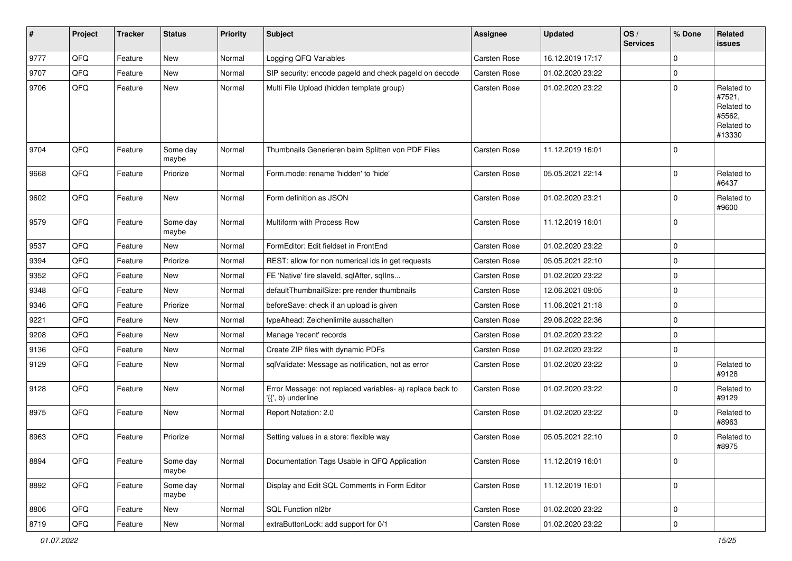| $\sharp$ | Project | <b>Tracker</b> | <b>Status</b>     | <b>Priority</b> | Subject                                                                         | <b>Assignee</b>     | <b>Updated</b>   | OS/<br><b>Services</b> | % Done      | Related<br><b>issues</b>                                             |
|----------|---------|----------------|-------------------|-----------------|---------------------------------------------------------------------------------|---------------------|------------------|------------------------|-------------|----------------------------------------------------------------------|
| 9777     | QFQ     | Feature        | New               | Normal          | Logging QFQ Variables                                                           | Carsten Rose        | 16.12.2019 17:17 |                        | $\mathbf 0$ |                                                                      |
| 9707     | QFQ     | Feature        | <b>New</b>        | Normal          | SIP security: encode pageld and check pageld on decode                          | Carsten Rose        | 01.02.2020 23:22 |                        | $\mathbf 0$ |                                                                      |
| 9706     | QFQ     | Feature        | New               | Normal          | Multi File Upload (hidden template group)                                       | Carsten Rose        | 01.02.2020 23:22 |                        | $\mathbf 0$ | Related to<br>#7521,<br>Related to<br>#5562,<br>Related to<br>#13330 |
| 9704     | QFQ     | Feature        | Some day<br>maybe | Normal          | Thumbnails Generieren beim Splitten von PDF Files                               | <b>Carsten Rose</b> | 11.12.2019 16:01 |                        | $\mathbf 0$ |                                                                      |
| 9668     | QFQ     | Feature        | Priorize          | Normal          | Form.mode: rename 'hidden' to 'hide'                                            | Carsten Rose        | 05.05.2021 22:14 |                        | $\mathbf 0$ | Related to<br>#6437                                                  |
| 9602     | QFQ     | Feature        | New               | Normal          | Form definition as JSON                                                         | <b>Carsten Rose</b> | 01.02.2020 23:21 |                        | 0           | Related to<br>#9600                                                  |
| 9579     | QFQ     | Feature        | Some day<br>maybe | Normal          | Multiform with Process Row                                                      | Carsten Rose        | 11.12.2019 16:01 |                        | $\mathbf 0$ |                                                                      |
| 9537     | QFQ     | Feature        | New               | Normal          | FormEditor: Edit fieldset in FrontEnd                                           | Carsten Rose        | 01.02.2020 23:22 |                        | $\mathbf 0$ |                                                                      |
| 9394     | QFQ     | Feature        | Priorize          | Normal          | REST: allow for non numerical ids in get requests                               | Carsten Rose        | 05.05.2021 22:10 |                        | $\mathbf 0$ |                                                                      |
| 9352     | QFQ     | Feature        | New               | Normal          | FE 'Native' fire slaveld, sqlAfter, sqlIns                                      | Carsten Rose        | 01.02.2020 23:22 |                        | $\mathbf 0$ |                                                                      |
| 9348     | QFQ     | Feature        | <b>New</b>        | Normal          | defaultThumbnailSize: pre render thumbnails                                     | <b>Carsten Rose</b> | 12.06.2021 09:05 |                        | $\mathbf 0$ |                                                                      |
| 9346     | QFQ     | Feature        | Priorize          | Normal          | beforeSave: check if an upload is given                                         | <b>Carsten Rose</b> | 11.06.2021 21:18 |                        | $\mathbf 0$ |                                                                      |
| 9221     | QFQ     | Feature        | New               | Normal          | typeAhead: Zeichenlimite ausschalten                                            | Carsten Rose        | 29.06.2022 22:36 |                        | $\mathbf 0$ |                                                                      |
| 9208     | QFQ     | Feature        | New               | Normal          | Manage 'recent' records                                                         | <b>Carsten Rose</b> | 01.02.2020 23:22 |                        | $\mathbf 0$ |                                                                      |
| 9136     | QFQ     | Feature        | <b>New</b>        | Normal          | Create ZIP files with dynamic PDFs                                              | Carsten Rose        | 01.02.2020 23:22 |                        | $\mathbf 0$ |                                                                      |
| 9129     | QFQ     | Feature        | New               | Normal          | sqlValidate: Message as notification, not as error                              | <b>Carsten Rose</b> | 01.02.2020 23:22 |                        | $\mathbf 0$ | Related to<br>#9128                                                  |
| 9128     | QFQ     | Feature        | <b>New</b>        | Normal          | Error Message: not replaced variables- a) replace back to<br>'{{', b) underline | Carsten Rose        | 01.02.2020 23:22 |                        | $\mathbf 0$ | Related to<br>#9129                                                  |
| 8975     | QFQ     | Feature        | <b>New</b>        | Normal          | Report Notation: 2.0                                                            | Carsten Rose        | 01.02.2020 23:22 |                        | 0           | Related to<br>#8963                                                  |
| 8963     | QFQ     | Feature        | Priorize          | Normal          | Setting values in a store: flexible way                                         | Carsten Rose        | 05.05.2021 22:10 |                        | $\mathbf 0$ | Related to<br>#8975                                                  |
| 8894     | QFQ     | Feature        | Some day<br>maybe | Normal          | Documentation Tags Usable in QFQ Application                                    | Carsten Rose        | 11.12.2019 16:01 |                        | $\mathbf 0$ |                                                                      |
| 8892     | QFQ     | Feature        | Some day<br>maybe | Normal          | Display and Edit SQL Comments in Form Editor                                    | Carsten Rose        | 11.12.2019 16:01 |                        | $\mathbf 0$ |                                                                      |
| 8806     | QFQ     | Feature        | New               | Normal          | SQL Function nl2br                                                              | Carsten Rose        | 01.02.2020 23:22 |                        | $\mathbf 0$ |                                                                      |
| 8719     | QFG     | Feature        | New               | Normal          | extraButtonLock: add support for 0/1                                            | Carsten Rose        | 01.02.2020 23:22 |                        | $\pmb{0}$   |                                                                      |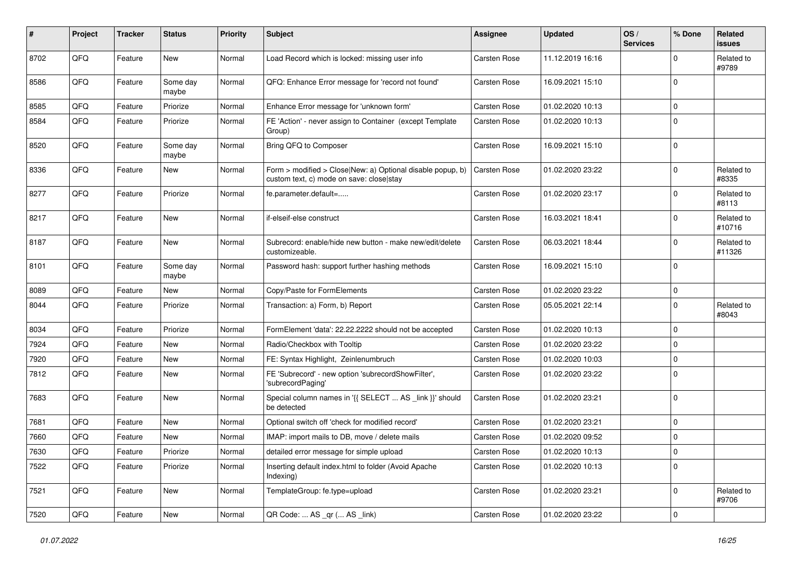| #    | Project | <b>Tracker</b> | <b>Status</b>     | <b>Priority</b> | <b>Subject</b>                                                                                         | <b>Assignee</b>     | <b>Updated</b>   | OS/<br><b>Services</b> | % Done      | Related<br>issues    |
|------|---------|----------------|-------------------|-----------------|--------------------------------------------------------------------------------------------------------|---------------------|------------------|------------------------|-------------|----------------------|
| 8702 | QFQ     | Feature        | <b>New</b>        | Normal          | Load Record which is locked: missing user info                                                         | <b>Carsten Rose</b> | 11.12.2019 16:16 |                        | $\mathbf 0$ | Related to<br>#9789  |
| 8586 | QFQ     | Feature        | Some day<br>maybe | Normal          | QFQ: Enhance Error message for 'record not found'                                                      | Carsten Rose        | 16.09.2021 15:10 |                        | $\mathbf 0$ |                      |
| 8585 | QFQ     | Feature        | Priorize          | Normal          | Enhance Error message for 'unknown form'                                                               | <b>Carsten Rose</b> | 01.02.2020 10:13 |                        | 0           |                      |
| 8584 | QFQ     | Feature        | Priorize          | Normal          | FE 'Action' - never assign to Container (except Template<br>Group)                                     | <b>Carsten Rose</b> | 01.02.2020 10:13 |                        | $\Omega$    |                      |
| 8520 | QFQ     | Feature        | Some day<br>maybe | Normal          | Bring QFQ to Composer                                                                                  | <b>Carsten Rose</b> | 16.09.2021 15:10 |                        | $\mathbf 0$ |                      |
| 8336 | QFQ     | Feature        | New               | Normal          | Form > modified > Close New: a) Optional disable popup, b)<br>custom text, c) mode on save: close stay | Carsten Rose        | 01.02.2020 23:22 |                        | $\mathbf 0$ | Related to<br>#8335  |
| 8277 | QFQ     | Feature        | Priorize          | Normal          | fe.parameter.default=                                                                                  | <b>Carsten Rose</b> | 01.02.2020 23:17 |                        | $\mathbf 0$ | Related to<br>#8113  |
| 8217 | QFQ     | Feature        | New               | Normal          | if-elseif-else construct                                                                               | <b>Carsten Rose</b> | 16.03.2021 18:41 |                        | $\mathbf 0$ | Related to<br>#10716 |
| 8187 | QFQ     | Feature        | <b>New</b>        | Normal          | Subrecord: enable/hide new button - make new/edit/delete<br>customizeable.                             | <b>Carsten Rose</b> | 06.03.2021 18:44 |                        | $\mathbf 0$ | Related to<br>#11326 |
| 8101 | QFQ     | Feature        | Some day<br>maybe | Normal          | Password hash: support further hashing methods                                                         | Carsten Rose        | 16.09.2021 15:10 |                        | $\mathbf 0$ |                      |
| 8089 | QFQ     | Feature        | <b>New</b>        | Normal          | Copy/Paste for FormElements                                                                            | Carsten Rose        | 01.02.2020 23:22 |                        | $\pmb{0}$   |                      |
| 8044 | QFQ     | Feature        | Priorize          | Normal          | Transaction: a) Form, b) Report                                                                        | Carsten Rose        | 05.05.2021 22:14 |                        | $\mathbf 0$ | Related to<br>#8043  |
| 8034 | QFQ     | Feature        | Priorize          | Normal          | FormElement 'data': 22.22.2222 should not be accepted                                                  | <b>Carsten Rose</b> | 01.02.2020 10:13 |                        | $\mathbf 0$ |                      |
| 7924 | QFQ     | Feature        | New               | Normal          | Radio/Checkbox with Tooltip                                                                            | Carsten Rose        | 01.02.2020 23:22 |                        | $\mathbf 0$ |                      |
| 7920 | QFQ     | Feature        | <b>New</b>        | Normal          | FE: Syntax Highlight, Zeinlenumbruch                                                                   | <b>Carsten Rose</b> | 01.02.2020 10:03 |                        | $\mathbf 0$ |                      |
| 7812 | QFQ     | Feature        | <b>New</b>        | Normal          | FE 'Subrecord' - new option 'subrecordShowFilter',<br>'subrecordPaging'                                | <b>Carsten Rose</b> | 01.02.2020 23:22 |                        | $\mathbf 0$ |                      |
| 7683 | QFQ     | Feature        | <b>New</b>        | Normal          | Special column names in '{{ SELECT  AS _link }}' should<br>be detected                                 | Carsten Rose        | 01.02.2020 23:21 |                        | $\mathbf 0$ |                      |
| 7681 | QFQ     | Feature        | New               | Normal          | Optional switch off 'check for modified record'                                                        | <b>Carsten Rose</b> | 01.02.2020 23:21 |                        | 0           |                      |
| 7660 | QFQ     | Feature        | <b>New</b>        | Normal          | IMAP: import mails to DB, move / delete mails                                                          | <b>Carsten Rose</b> | 01.02.2020 09:52 |                        | $\mathbf 0$ |                      |
| 7630 | QFQ     | Feature        | Priorize          | Normal          | detailed error message for simple upload                                                               | Carsten Rose        | 01.02.2020 10:13 |                        | 0           |                      |
| 7522 | QFQ     | Feature        | Priorize          | Normal          | Inserting default index.html to folder (Avoid Apache<br>Indexing)                                      | Carsten Rose        | 01.02.2020 10:13 |                        | $\pmb{0}$   |                      |
| 7521 | QFQ     | Feature        | New               | Normal          | TemplateGroup: fe.type=upload                                                                          | Carsten Rose        | 01.02.2020 23:21 |                        | $\pmb{0}$   | Related to<br>#9706  |
| 7520 | QFQ     | Feature        | New               | Normal          | QR Code:  AS _qr ( AS _link)                                                                           | Carsten Rose        | 01.02.2020 23:22 |                        | $\pmb{0}$   |                      |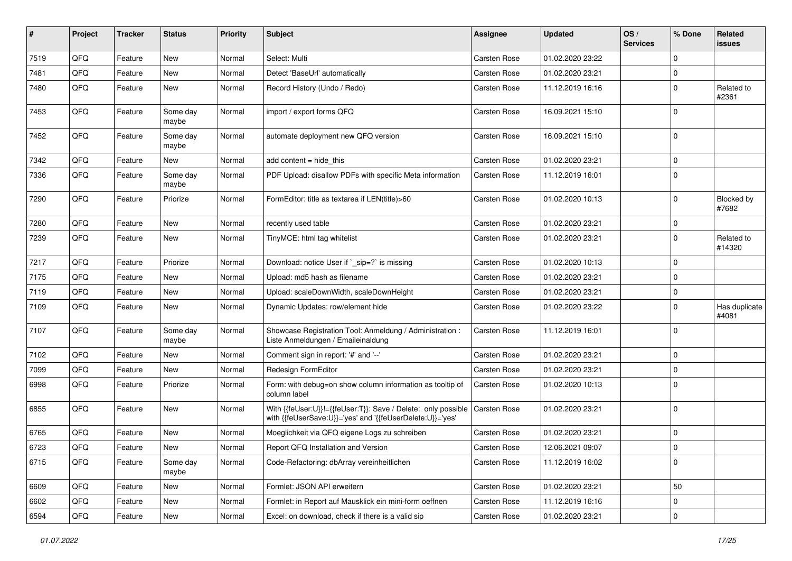| #    | Project | <b>Tracker</b> | <b>Status</b>     | <b>Priority</b> | <b>Subject</b>                                                                                                             | <b>Assignee</b>     | <b>Updated</b>   | OS/<br><b>Services</b> | % Done      | Related<br>issues      |
|------|---------|----------------|-------------------|-----------------|----------------------------------------------------------------------------------------------------------------------------|---------------------|------------------|------------------------|-------------|------------------------|
| 7519 | QFQ     | Feature        | <b>New</b>        | Normal          | Select: Multi                                                                                                              | <b>Carsten Rose</b> | 01.02.2020 23:22 |                        | $\Omega$    |                        |
| 7481 | QFQ     | Feature        | New               | Normal          | Detect 'BaseUrl' automatically                                                                                             | Carsten Rose        | 01.02.2020 23:21 |                        | 0           |                        |
| 7480 | QFQ     | Feature        | New               | Normal          | Record History (Undo / Redo)                                                                                               | <b>Carsten Rose</b> | 11.12.2019 16:16 |                        | $\Omega$    | Related to<br>#2361    |
| 7453 | QFQ     | Feature        | Some day<br>maybe | Normal          | import / export forms QFQ                                                                                                  | Carsten Rose        | 16.09.2021 15:10 |                        | $\Omega$    |                        |
| 7452 | QFQ     | Feature        | Some day<br>maybe | Normal          | automate deployment new QFQ version                                                                                        | Carsten Rose        | 16.09.2021 15:10 |                        | $\Omega$    |                        |
| 7342 | QFQ     | Feature        | New               | Normal          | add content $=$ hide this                                                                                                  | <b>Carsten Rose</b> | 01.02.2020 23:21 |                        | $\Omega$    |                        |
| 7336 | QFQ     | Feature        | Some day<br>maybe | Normal          | PDF Upload: disallow PDFs with specific Meta information                                                                   | <b>Carsten Rose</b> | 11.12.2019 16:01 |                        | $\Omega$    |                        |
| 7290 | QFQ     | Feature        | Priorize          | Normal          | FormEditor: title as textarea if LEN(title)>60                                                                             | Carsten Rose        | 01.02.2020 10:13 |                        | $\Omega$    | Blocked by<br>#7682    |
| 7280 | QFQ     | Feature        | <b>New</b>        | Normal          | recently used table                                                                                                        | Carsten Rose        | 01.02.2020 23:21 |                        | $\Omega$    |                        |
| 7239 | QFQ     | Feature        | <b>New</b>        | Normal          | TinyMCE: html tag whitelist                                                                                                | Carsten Rose        | 01.02.2020 23:21 |                        | $\Omega$    | Related to<br>#14320   |
| 7217 | QFQ     | Feature        | Priorize          | Normal          | Download: notice User if `_sip=?` is missing                                                                               | <b>Carsten Rose</b> | 01.02.2020 10:13 |                        | $\Omega$    |                        |
| 7175 | QFQ     | Feature        | New               | Normal          | Upload: md5 hash as filename                                                                                               | <b>Carsten Rose</b> | 01.02.2020 23:21 |                        | 0           |                        |
| 7119 | QFQ     | Feature        | New               | Normal          | Upload: scaleDownWidth, scaleDownHeight                                                                                    | <b>Carsten Rose</b> | 01.02.2020 23:21 |                        | $\Omega$    |                        |
| 7109 | QFQ     | Feature        | <b>New</b>        | Normal          | Dynamic Updates: row/element hide                                                                                          | Carsten Rose        | 01.02.2020 23:22 |                        | $\Omega$    | Has duplicate<br>#4081 |
| 7107 | QFQ     | Feature        | Some day<br>maybe | Normal          | Showcase Registration Tool: Anmeldung / Administration :<br>Liste Anmeldungen / Emaileinaldung                             | Carsten Rose        | 11.12.2019 16:01 |                        | $\Omega$    |                        |
| 7102 | QFQ     | Feature        | New               | Normal          | Comment sign in report: '#' and '--'                                                                                       | Carsten Rose        | 01.02.2020 23:21 |                        | $\Omega$    |                        |
| 7099 | QFQ     | Feature        | New               | Normal          | Redesign FormEditor                                                                                                        | <b>Carsten Rose</b> | 01.02.2020 23:21 |                        | $\Omega$    |                        |
| 6998 | QFQ     | Feature        | Priorize          | Normal          | Form: with debug=on show column information as tooltip of<br>column label                                                  | Carsten Rose        | 01.02.2020 10:13 |                        | $\Omega$    |                        |
| 6855 | QFQ     | Feature        | New               | Normal          | With {{feUser:U}}!={{feUser:T}}: Save / Delete: only possible<br>with {{feUserSave:U}}='yes' and '{{feUserDelete:U}}='yes' | Carsten Rose        | 01.02.2020 23:21 |                        | $\Omega$    |                        |
| 6765 | QFQ     | Feature        | New               | Normal          | Moeglichkeit via QFQ eigene Logs zu schreiben                                                                              | Carsten Rose        | 01.02.2020 23:21 |                        | $\Omega$    |                        |
| 6723 | QFQ     | Feature        | New               | Normal          | Report QFQ Installation and Version                                                                                        | Carsten Rose        | 12.06.2021 09:07 |                        | 0           |                        |
| 6715 | QFQ     | Feature        | Some day<br>maybe | Normal          | Code-Refactoring: dbArray vereinheitlichen                                                                                 | Carsten Rose        | 11.12.2019 16:02 |                        | $\mathbf 0$ |                        |
| 6609 | QFQ     | Feature        | New               | Normal          | Formlet: JSON API erweitern                                                                                                | Carsten Rose        | 01.02.2020 23:21 |                        | 50          |                        |
| 6602 | QFQ     | Feature        | New               | Normal          | Formlet: in Report auf Mausklick ein mini-form oeffnen                                                                     | Carsten Rose        | 11.12.2019 16:16 |                        | $\mathbf 0$ |                        |
| 6594 | QFQ     | Feature        | New               | Normal          | Excel: on download, check if there is a valid sip                                                                          | Carsten Rose        | 01.02.2020 23:21 |                        | $\mathbf 0$ |                        |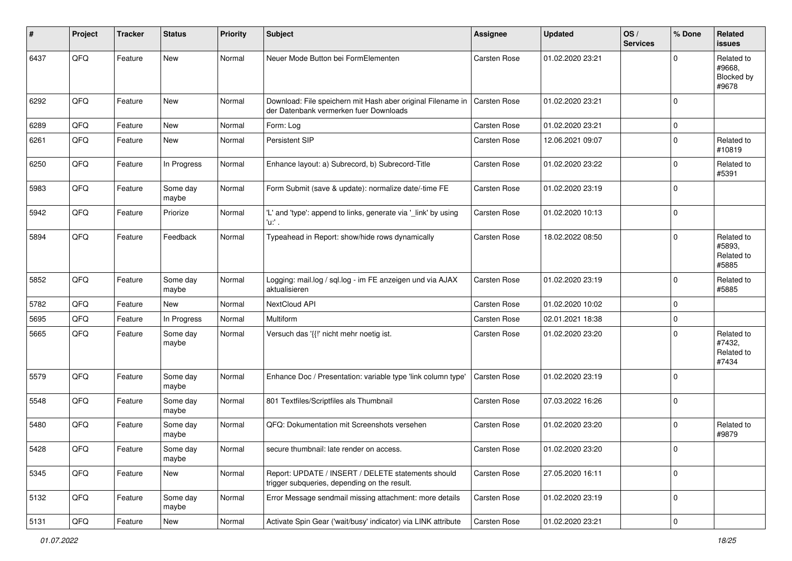| #    | Project | <b>Tracker</b> | <b>Status</b>     | <b>Priority</b> | <b>Subject</b>                                                                                        | <b>Assignee</b>     | <b>Updated</b>   | OS/<br><b>Services</b> | % Done      | Related<br><b>issues</b>                    |
|------|---------|----------------|-------------------|-----------------|-------------------------------------------------------------------------------------------------------|---------------------|------------------|------------------------|-------------|---------------------------------------------|
| 6437 | QFQ     | Feature        | <b>New</b>        | Normal          | Neuer Mode Button bei FormElementen                                                                   | <b>Carsten Rose</b> | 01.02.2020 23:21 |                        | $\Omega$    | Related to<br>#9668.<br>Blocked by<br>#9678 |
| 6292 | QFQ     | Feature        | <b>New</b>        | Normal          | Download: File speichern mit Hash aber original Filename in<br>der Datenbank vermerken fuer Downloads | <b>Carsten Rose</b> | 01.02.2020 23:21 |                        | $\Omega$    |                                             |
| 6289 | QFQ     | Feature        | <b>New</b>        | Normal          | Form: Log                                                                                             | <b>Carsten Rose</b> | 01.02.2020 23:21 |                        | 0           |                                             |
| 6261 | QFQ     | Feature        | New               | Normal          | Persistent SIP                                                                                        | Carsten Rose        | 12.06.2021 09:07 |                        | $\mathbf 0$ | Related to<br>#10819                        |
| 6250 | QFQ     | Feature        | In Progress       | Normal          | Enhance layout: a) Subrecord, b) Subrecord-Title                                                      | <b>Carsten Rose</b> | 01.02.2020 23:22 |                        | $\Omega$    | Related to<br>#5391                         |
| 5983 | QFQ     | Feature        | Some day<br>maybe | Normal          | Form Submit (save & update): normalize date/-time FE                                                  | <b>Carsten Rose</b> | 01.02.2020 23:19 |                        | $\Omega$    |                                             |
| 5942 | QFQ     | Feature        | Priorize          | Normal          | 'L' and 'type': append to links, generate via '_link' by using<br>'u:' .                              | Carsten Rose        | 01.02.2020 10:13 |                        | 0           |                                             |
| 5894 | QFQ     | Feature        | Feedback          | Normal          | Typeahead in Report: show/hide rows dynamically                                                       | Carsten Rose        | 18.02.2022 08:50 |                        | $\Omega$    | Related to<br>#5893,<br>Related to<br>#5885 |
| 5852 | QFQ     | Feature        | Some day<br>maybe | Normal          | Logging: mail.log / sql.log - im FE anzeigen und via AJAX<br>aktualisieren                            | <b>Carsten Rose</b> | 01.02.2020 23:19 |                        | $\mathbf 0$ | Related to<br>#5885                         |
| 5782 | QFQ     | Feature        | New               | Normal          | NextCloud API                                                                                         | <b>Carsten Rose</b> | 01.02.2020 10:02 |                        | $\Omega$    |                                             |
| 5695 | QFQ     | Feature        | In Progress       | Normal          | Multiform                                                                                             | Carsten Rose        | 02.01.2021 18:38 |                        | 0           |                                             |
| 5665 | QFQ     | Feature        | Some day<br>maybe | Normal          | Versuch das '{{!' nicht mehr noetig ist.                                                              | Carsten Rose        | 01.02.2020 23:20 |                        | $\Omega$    | Related to<br>#7432,<br>Related to<br>#7434 |
| 5579 | QFQ     | Feature        | Some day<br>maybe | Normal          | Enhance Doc / Presentation: variable type 'link column type'                                          | <b>Carsten Rose</b> | 01.02.2020 23:19 |                        | $\Omega$    |                                             |
| 5548 | QFQ     | Feature        | Some day<br>maybe | Normal          | 801 Textfiles/Scriptfiles als Thumbnail                                                               | Carsten Rose        | 07.03.2022 16:26 |                        | $\Omega$    |                                             |
| 5480 | QFQ     | Feature        | Some day<br>maybe | Normal          | QFQ: Dokumentation mit Screenshots versehen                                                           | <b>Carsten Rose</b> | 01.02.2020 23:20 |                        | 0           | Related to<br>#9879                         |
| 5428 | QFQ     | Feature        | Some day<br>maybe | Normal          | secure thumbnail: late render on access.                                                              | Carsten Rose        | 01.02.2020 23:20 |                        | $\pmb{0}$   |                                             |
| 5345 | QFQ     | Feature        | New               | Normal          | Report: UPDATE / INSERT / DELETE statements should<br>trigger subqueries, depending on the result.    | Carsten Rose        | 27.05.2020 16:11 |                        | 0           |                                             |
| 5132 | QFQ     | Feature        | Some day<br>maybe | Normal          | Error Message sendmail missing attachment: more details                                               | Carsten Rose        | 01.02.2020 23:19 |                        | $\pmb{0}$   |                                             |
| 5131 | QFG     | Feature        | <b>New</b>        | Normal          | Activate Spin Gear ('wait/busy' indicator) via LINK attribute                                         | Carsten Rose        | 01.02.2020 23:21 |                        | $\pmb{0}$   |                                             |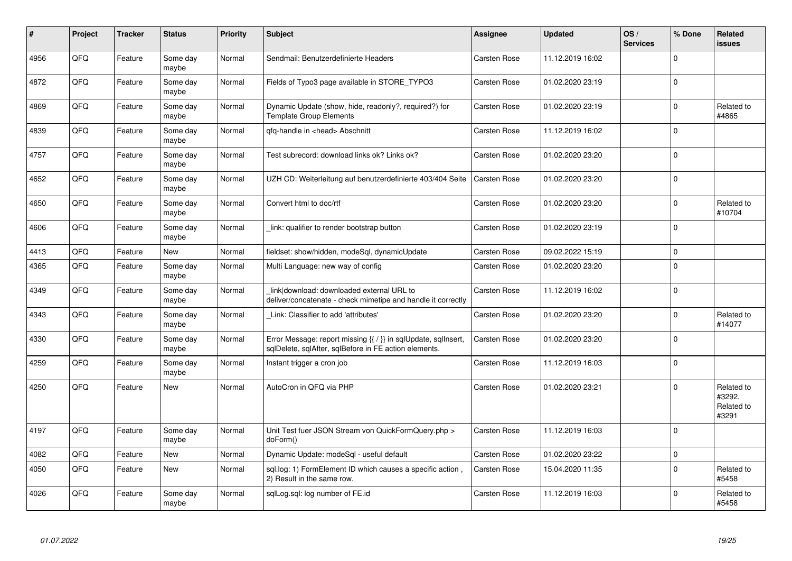| #    | Project | <b>Tracker</b> | <b>Status</b>     | <b>Priority</b> | <b>Subject</b>                                                                                                          | <b>Assignee</b>     | <b>Updated</b>   | OS/<br><b>Services</b> | % Done      | Related<br>issues                           |
|------|---------|----------------|-------------------|-----------------|-------------------------------------------------------------------------------------------------------------------------|---------------------|------------------|------------------------|-------------|---------------------------------------------|
| 4956 | QFQ     | Feature        | Some day<br>maybe | Normal          | Sendmail: Benutzerdefinierte Headers                                                                                    | Carsten Rose        | 11.12.2019 16:02 |                        | $\mathbf 0$ |                                             |
| 4872 | QFQ     | Feature        | Some day<br>maybe | Normal          | Fields of Typo3 page available in STORE_TYPO3                                                                           | <b>Carsten Rose</b> | 01.02.2020 23:19 |                        | $\mathbf 0$ |                                             |
| 4869 | QFQ     | Feature        | Some day<br>maybe | Normal          | Dynamic Update (show, hide, readonly?, required?) for<br><b>Template Group Elements</b>                                 | Carsten Rose        | 01.02.2020 23:19 |                        | $\Omega$    | Related to<br>#4865                         |
| 4839 | QFQ     | Feature        | Some day<br>maybe | Normal          | qfq-handle in <head> Abschnitt</head>                                                                                   | Carsten Rose        | 11.12.2019 16:02 |                        | 0           |                                             |
| 4757 | QFQ     | Feature        | Some day<br>maybe | Normal          | Test subrecord: download links ok? Links ok?                                                                            | Carsten Rose        | 01.02.2020 23:20 |                        | $\Omega$    |                                             |
| 4652 | QFQ     | Feature        | Some day<br>maybe | Normal          | UZH CD: Weiterleitung auf benutzerdefinierte 403/404 Seite                                                              | <b>Carsten Rose</b> | 01.02.2020 23:20 |                        | $\mathbf 0$ |                                             |
| 4650 | QFQ     | Feature        | Some day<br>maybe | Normal          | Convert html to doc/rtf                                                                                                 | Carsten Rose        | 01.02.2020 23:20 |                        | $\Omega$    | Related to<br>#10704                        |
| 4606 | QFQ     | Feature        | Some day<br>maybe | Normal          | link: qualifier to render bootstrap button                                                                              | Carsten Rose        | 01.02.2020 23:19 |                        | $\Omega$    |                                             |
| 4413 | QFQ     | Feature        | <b>New</b>        | Normal          | fieldset: show/hidden, modeSql, dynamicUpdate                                                                           | Carsten Rose        | 09.02.2022 15:19 |                        | $\mathbf 0$ |                                             |
| 4365 | QFQ     | Feature        | Some day<br>maybe | Normal          | Multi Language: new way of config                                                                                       | Carsten Rose        | 01.02.2020 23:20 |                        | $\pmb{0}$   |                                             |
| 4349 | QFQ     | Feature        | Some day<br>maybe | Normal          | link download: downloaded external URL to<br>deliver/concatenate - check mimetipe and handle it correctly               | Carsten Rose        | 11.12.2019 16:02 |                        | $\pmb{0}$   |                                             |
| 4343 | QFQ     | Feature        | Some day<br>maybe | Normal          | Link: Classifier to add 'attributes'                                                                                    | Carsten Rose        | 01.02.2020 23:20 |                        | $\mathbf 0$ | Related to<br>#14077                        |
| 4330 | QFQ     | Feature        | Some day<br>maybe | Normal          | Error Message: report missing {{ / }} in sqlUpdate, sqlInsert.<br>sqlDelete, sqlAfter, sqlBefore in FE action elements. | Carsten Rose        | 01.02.2020 23:20 |                        | $\mathbf 0$ |                                             |
| 4259 | QFQ     | Feature        | Some day<br>maybe | Normal          | Instant trigger a cron job                                                                                              | Carsten Rose        | 11.12.2019 16:03 |                        | $\Omega$    |                                             |
| 4250 | QFQ     | Feature        | <b>New</b>        | Normal          | AutoCron in QFQ via PHP                                                                                                 | Carsten Rose        | 01.02.2020 23:21 |                        | $\mathbf 0$ | Related to<br>#3292,<br>Related to<br>#3291 |
| 4197 | QFQ     | Feature        | Some day<br>maybe | Normal          | Unit Test fuer JSON Stream von QuickFormQuery.php ><br>doForm()                                                         | Carsten Rose        | 11.12.2019 16:03 |                        | 0           |                                             |
| 4082 | QFQ     | Feature        | <b>New</b>        | Normal          | Dynamic Update: modeSql - useful default                                                                                | Carsten Rose        | 01.02.2020 23:22 |                        | 0           |                                             |
| 4050 | QFQ     | Feature        | <b>New</b>        | Normal          | sql.log: 1) FormElement ID which causes a specific action,<br>2) Result in the same row.                                | <b>Carsten Rose</b> | 15.04.2020 11:35 |                        | 0           | Related to<br>#5458                         |
| 4026 | QFQ     | Feature        | Some day<br>maybe | Normal          | sqlLog.sql: log number of FE.id                                                                                         | Carsten Rose        | 11.12.2019 16:03 |                        | $\Omega$    | Related to<br>#5458                         |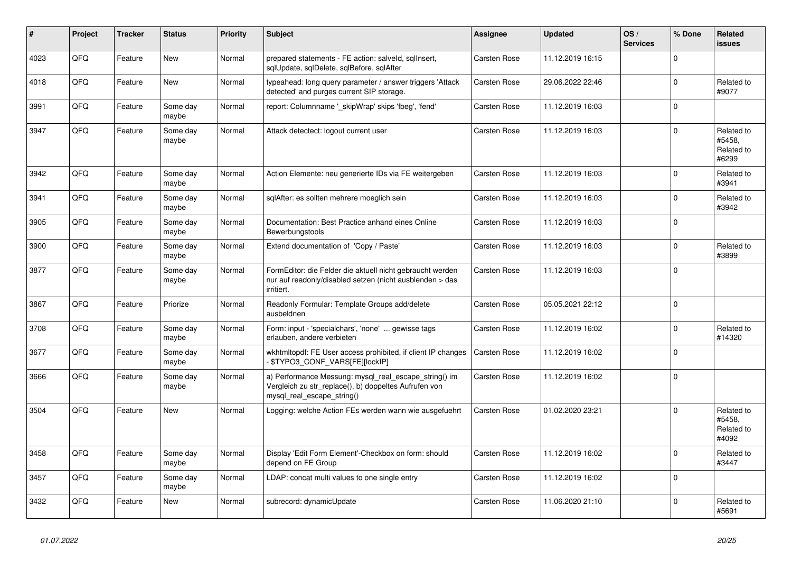| #    | Project | <b>Tracker</b> | <b>Status</b>     | <b>Priority</b> | <b>Subject</b>                                                                                                                               | Assignee            | <b>Updated</b>   | OS/<br><b>Services</b> | % Done      | Related<br>issues                           |
|------|---------|----------------|-------------------|-----------------|----------------------------------------------------------------------------------------------------------------------------------------------|---------------------|------------------|------------------------|-------------|---------------------------------------------|
| 4023 | QFQ     | Feature        | New               | Normal          | prepared statements - FE action: salveld, sgllnsert,<br>sqlUpdate, sqlDelete, sqlBefore, sqlAfter                                            | Carsten Rose        | 11.12.2019 16:15 |                        | $\Omega$    |                                             |
| 4018 | QFQ     | Feature        | <b>New</b>        | Normal          | typeahead: long query parameter / answer triggers 'Attack<br>detected' and purges current SIP storage.                                       | <b>Carsten Rose</b> | 29.06.2022 22:46 |                        | 0           | Related to<br>#9077                         |
| 3991 | QFQ     | Feature        | Some day<br>maybe | Normal          | report: Columnname ' skipWrap' skips 'fbeg', 'fend'                                                                                          | Carsten Rose        | 11.12.2019 16:03 |                        | $\Omega$    |                                             |
| 3947 | QFQ     | Feature        | Some day<br>maybe | Normal          | Attack detectect: logout current user                                                                                                        | Carsten Rose        | 11.12.2019 16:03 |                        | $\Omega$    | Related to<br>#5458.<br>Related to<br>#6299 |
| 3942 | QFQ     | Feature        | Some day<br>maybe | Normal          | Action Elemente: neu generierte IDs via FE weitergeben                                                                                       | <b>Carsten Rose</b> | 11.12.2019 16:03 |                        | 0           | Related to<br>#3941                         |
| 3941 | QFQ     | Feature        | Some day<br>maybe | Normal          | sqlAfter: es sollten mehrere moeglich sein                                                                                                   | Carsten Rose        | 11.12.2019 16:03 |                        | $\Omega$    | Related to<br>#3942                         |
| 3905 | QFQ     | Feature        | Some day<br>maybe | Normal          | Documentation: Best Practice anhand eines Online<br>Bewerbungstools                                                                          | Carsten Rose        | 11.12.2019 16:03 |                        | $\Omega$    |                                             |
| 3900 | QFQ     | Feature        | Some day<br>maybe | Normal          | Extend documentation of 'Copy / Paste'                                                                                                       | Carsten Rose        | 11.12.2019 16:03 |                        | 0           | Related to<br>#3899                         |
| 3877 | QFQ     | Feature        | Some day<br>maybe | Normal          | FormEditor: die Felder die aktuell nicht gebraucht werden<br>nur auf readonly/disabled setzen (nicht ausblenden > das<br>irritiert.          | <b>Carsten Rose</b> | 11.12.2019 16:03 |                        | $\Omega$    |                                             |
| 3867 | QFQ     | Feature        | Priorize          | Normal          | Readonly Formular: Template Groups add/delete<br>ausbeldnen                                                                                  | Carsten Rose        | 05.05.2021 22:12 |                        | $\mathsf 0$ |                                             |
| 3708 | QFQ     | Feature        | Some day<br>maybe | Normal          | Form: input - 'specialchars', 'none'  gewisse tags<br>erlauben, andere verbieten                                                             | Carsten Rose        | 11.12.2019 16:02 |                        | $\pmb{0}$   | Related to<br>#14320                        |
| 3677 | QFQ     | Feature        | Some day<br>maybe | Normal          | wkhtmltopdf: FE User access prohibited, if client IP changes<br>\$TYPO3_CONF_VARS[FE][lockIP]                                                | <b>Carsten Rose</b> | 11.12.2019 16:02 |                        | $\mathbf 0$ |                                             |
| 3666 | QFQ     | Feature        | Some day<br>maybe | Normal          | a) Performance Messung: mysql_real_escape_string() im<br>Vergleich zu str_replace(), b) doppeltes Aufrufen von<br>mysql real escape string() | Carsten Rose        | 11.12.2019 16:02 |                        | 0           |                                             |
| 3504 | QFQ     | Feature        | <b>New</b>        | Normal          | Logging: welche Action FEs werden wann wie ausgefuehrt                                                                                       | <b>Carsten Rose</b> | 01.02.2020 23:21 |                        | $\Omega$    | Related to<br>#5458,<br>Related to<br>#4092 |
| 3458 | QFQ     | Feature        | Some day<br>maybe | Normal          | Display 'Edit Form Element'-Checkbox on form: should<br>depend on FE Group                                                                   | Carsten Rose        | 11.12.2019 16:02 |                        | $\Omega$    | Related to<br>#3447                         |
| 3457 | QFQ     | Feature        | Some day<br>maybe | Normal          | LDAP: concat multi values to one single entry                                                                                                | Carsten Rose        | 11.12.2019 16:02 |                        | $\Omega$    |                                             |
| 3432 | QFQ     | Feature        | <b>New</b>        | Normal          | subrecord: dynamicUpdate                                                                                                                     | <b>Carsten Rose</b> | 11.06.2020 21:10 |                        | 0           | Related to<br>#5691                         |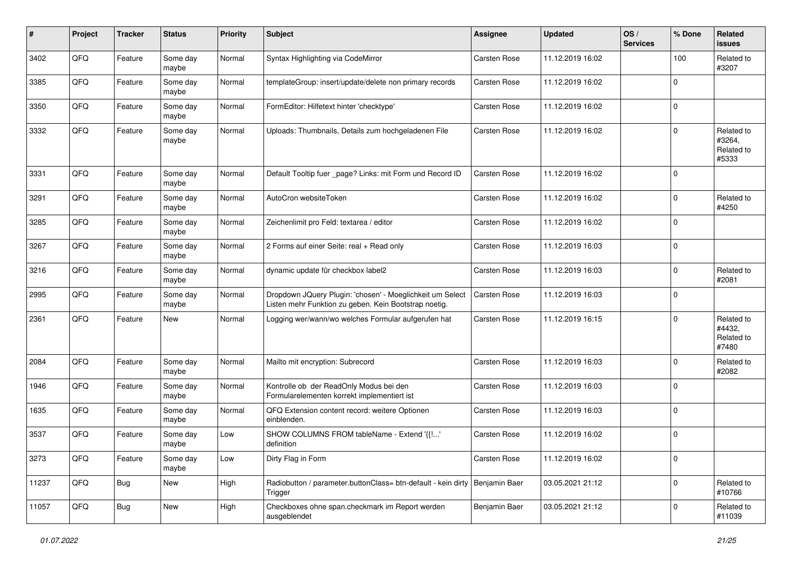| #     | Project | <b>Tracker</b> | <b>Status</b>     | <b>Priority</b> | <b>Subject</b>                                                                                                     | Assignee            | <b>Updated</b>   | OS/<br><b>Services</b> | % Done      | Related<br><b>issues</b>                    |
|-------|---------|----------------|-------------------|-----------------|--------------------------------------------------------------------------------------------------------------------|---------------------|------------------|------------------------|-------------|---------------------------------------------|
| 3402  | QFQ     | Feature        | Some day<br>maybe | Normal          | Syntax Highlighting via CodeMirror                                                                                 | <b>Carsten Rose</b> | 11.12.2019 16:02 |                        | 100         | Related to<br>#3207                         |
| 3385  | QFQ     | Feature        | Some day<br>maybe | Normal          | templateGroup: insert/update/delete non primary records                                                            | <b>Carsten Rose</b> | 11.12.2019 16:02 |                        | $\mathbf 0$ |                                             |
| 3350  | QFQ     | Feature        | Some day<br>maybe | Normal          | FormEditor: Hilfetext hinter 'checktype'                                                                           | Carsten Rose        | 11.12.2019 16:02 |                        | 0           |                                             |
| 3332  | QFQ     | Feature        | Some day<br>maybe | Normal          | Uploads: Thumbnails, Details zum hochgeladenen File                                                                | Carsten Rose        | 11.12.2019 16:02 |                        | 0           | Related to<br>#3264,<br>Related to<br>#5333 |
| 3331  | QFQ     | Feature        | Some day<br>maybe | Normal          | Default Tooltip fuer _page? Links: mit Form und Record ID                                                          | <b>Carsten Rose</b> | 11.12.2019 16:02 |                        | $\Omega$    |                                             |
| 3291  | QFQ     | Feature        | Some day<br>maybe | Normal          | AutoCron websiteToken                                                                                              | Carsten Rose        | 11.12.2019 16:02 |                        | 0           | Related to<br>#4250                         |
| 3285  | QFQ     | Feature        | Some day<br>maybe | Normal          | Zeichenlimit pro Feld: textarea / editor                                                                           | Carsten Rose        | 11.12.2019 16:02 |                        | 0           |                                             |
| 3267  | QFQ     | Feature        | Some day<br>maybe | Normal          | 2 Forms auf einer Seite: real + Read only                                                                          | <b>Carsten Rose</b> | 11.12.2019 16:03 |                        | $\pmb{0}$   |                                             |
| 3216  | QFQ     | Feature        | Some day<br>maybe | Normal          | dynamic update für checkbox label2                                                                                 | <b>Carsten Rose</b> | 11.12.2019 16:03 |                        | $\mathbf 0$ | Related to<br>#2081                         |
| 2995  | QFQ     | Feature        | Some day<br>maybe | Normal          | Dropdown JQuery Plugin: 'chosen' - Moeglichkeit um Select<br>Listen mehr Funktion zu geben. Kein Bootstrap noetig. | Carsten Rose        | 11.12.2019 16:03 |                        | 0           |                                             |
| 2361  | QFQ     | Feature        | <b>New</b>        | Normal          | Logging wer/wann/wo welches Formular aufgerufen hat                                                                | Carsten Rose        | 11.12.2019 16:15 |                        | $\Omega$    | Related to<br>#4432,<br>Related to<br>#7480 |
| 2084  | QFQ     | Feature        | Some day<br>maybe | Normal          | Mailto mit encryption: Subrecord                                                                                   | <b>Carsten Rose</b> | 11.12.2019 16:03 |                        | $\mathbf 0$ | Related to<br>#2082                         |
| 1946  | QFQ     | Feature        | Some day<br>maybe | Normal          | Kontrolle ob der ReadOnly Modus bei den<br>Formularelementen korrekt implementiert ist                             | Carsten Rose        | 11.12.2019 16:03 |                        | 0           |                                             |
| 1635  | QFQ     | Feature        | Some day<br>maybe | Normal          | QFQ Extension content record: weitere Optionen<br>einblenden.                                                      | Carsten Rose        | 11.12.2019 16:03 |                        | $\mathbf 0$ |                                             |
| 3537  | QFQ     | Feature        | Some day<br>maybe | Low             | SHOW COLUMNS FROM tableName - Extend '{{!'<br>definition                                                           | Carsten Rose        | 11.12.2019 16:02 |                        | $\mathbf 0$ |                                             |
| 3273  | QFQ     | Feature        | Some day<br>maybe | Low             | Dirty Flag in Form                                                                                                 | Carsten Rose        | 11.12.2019 16:02 |                        | $\pmb{0}$   |                                             |
| 11237 | QFQ     | Bug            | New               | High            | Radiobutton / parameter.buttonClass= btn-default - kein dirty   Benjamin Baer<br>Trigger                           |                     | 03.05.2021 21:12 |                        | $\pmb{0}$   | Related to<br>#10766                        |
| 11057 | QFQ     | Bug            | New               | High            | Checkboxes ohne span.checkmark im Report werden<br>ausgeblendet                                                    | Benjamin Baer       | 03.05.2021 21:12 |                        | 0           | Related to<br>#11039                        |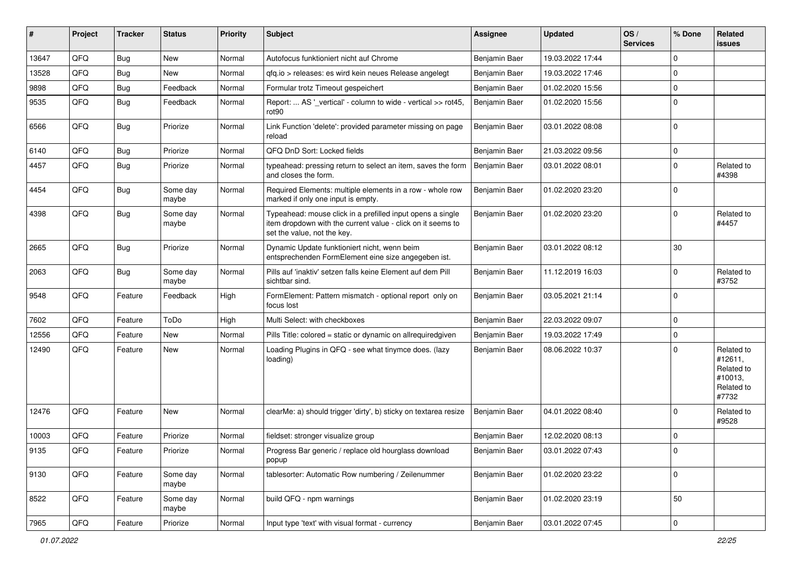| #     | Project | <b>Tracker</b> | <b>Status</b>     | <b>Priority</b> | Subject                                                                                                                                                  | Assignee      | <b>Updated</b>   | OS/<br><b>Services</b> | % Done      | Related<br>issues                                                     |
|-------|---------|----------------|-------------------|-----------------|----------------------------------------------------------------------------------------------------------------------------------------------------------|---------------|------------------|------------------------|-------------|-----------------------------------------------------------------------|
| 13647 | QFQ     | <b>Bug</b>     | <b>New</b>        | Normal          | Autofocus funktioniert nicht auf Chrome                                                                                                                  | Benjamin Baer | 19.03.2022 17:44 |                        | 0           |                                                                       |
| 13528 | QFQ     | Bug            | New               | Normal          | gfg.io > releases: es wird kein neues Release angelegt                                                                                                   | Benjamin Baer | 19.03.2022 17:46 |                        | $\mathbf 0$ |                                                                       |
| 9898  | QFQ     | <b>Bug</b>     | Feedback          | Normal          | Formular trotz Timeout gespeichert                                                                                                                       | Benjamin Baer | 01.02.2020 15:56 |                        | $\mathbf 0$ |                                                                       |
| 9535  | QFQ     | Bug            | Feedback          | Normal          | Report:  AS '_vertical' - column to wide - vertical >> rot45,<br>rot <sub>90</sub>                                                                       | Benjamin Baer | 01.02.2020 15:56 |                        | $\Omega$    |                                                                       |
| 6566  | QFQ     | Bug            | Priorize          | Normal          | Link Function 'delete': provided parameter missing on page<br>reload                                                                                     | Benjamin Baer | 03.01.2022 08:08 |                        | $\Omega$    |                                                                       |
| 6140  | QFQ     | <b>Bug</b>     | Priorize          | Normal          | QFQ DnD Sort: Locked fields                                                                                                                              | Benjamin Baer | 21.03.2022 09:56 |                        | 0           |                                                                       |
| 4457  | QFQ     | <b>Bug</b>     | Priorize          | Normal          | typeahead: pressing return to select an item, saves the form<br>and closes the form.                                                                     | Benjamin Baer | 03.01.2022 08:01 |                        | $\mathbf 0$ | Related to<br>#4398                                                   |
| 4454  | QFQ     | Bug            | Some day<br>maybe | Normal          | Required Elements: multiple elements in a row - whole row<br>marked if only one input is empty.                                                          | Benjamin Baer | 01.02.2020 23:20 |                        | $\Omega$    |                                                                       |
| 4398  | QFQ     | <b>Bug</b>     | Some day<br>maybe | Normal          | Typeahead: mouse click in a prefilled input opens a single<br>item dropdown with the current value - click on it seems to<br>set the value, not the key. | Benjamin Baer | 01.02.2020 23:20 |                        | $\mathbf 0$ | Related to<br>#4457                                                   |
| 2665  | QFQ     | <b>Bug</b>     | Priorize          | Normal          | Dynamic Update funktioniert nicht, wenn beim<br>entsprechenden FormElement eine size angegeben ist.                                                      | Benjamin Baer | 03.01.2022 08:12 |                        | 30          |                                                                       |
| 2063  | QFQ     | Bug            | Some day<br>maybe | Normal          | Pills auf 'inaktiv' setzen falls keine Element auf dem Pill<br>sichtbar sind.                                                                            | Benjamin Baer | 11.12.2019 16:03 |                        | $\mathbf 0$ | Related to<br>#3752                                                   |
| 9548  | QFQ     | Feature        | Feedback          | High            | FormElement: Pattern mismatch - optional report only on<br>focus lost                                                                                    | Benjamin Baer | 03.05.2021 21:14 |                        | $\Omega$    |                                                                       |
| 7602  | QFQ     | Feature        | ToDo              | High            | Multi Select: with checkboxes                                                                                                                            | Benjamin Baer | 22.03.2022 09:07 |                        | $\Omega$    |                                                                       |
| 12556 | QFQ     | Feature        | <b>New</b>        | Normal          | Pills Title: colored = static or dynamic on allrequiredgiven                                                                                             | Benjamin Baer | 19.03.2022 17:49 |                        | $\mathbf 0$ |                                                                       |
| 12490 | QFQ     | Feature        | New               | Normal          | Loading Plugins in QFQ - see what tinymce does. (lazy<br>loading)                                                                                        | Benjamin Baer | 08.06.2022 10:37 |                        | $\Omega$    | Related to<br>#12611,<br>Related to<br>#10013,<br>Related to<br>#7732 |
| 12476 | QFQ     | Feature        | New               | Normal          | clearMe: a) should trigger 'dirty', b) sticky on textarea resize                                                                                         | Benjamin Baer | 04.01.2022 08:40 |                        | $\mathbf 0$ | Related to<br>#9528                                                   |
| 10003 | QFQ     | Feature        | Priorize          | Normal          | fieldset: stronger visualize group                                                                                                                       | Benjamin Baer | 12.02.2020 08:13 |                        | 0           |                                                                       |
| 9135  | QFQ     | Feature        | Priorize          | Normal          | Progress Bar generic / replace old hourglass download<br>popup                                                                                           | Benjamin Baer | 03.01.2022 07:43 |                        | U           |                                                                       |
| 9130  | QFQ     | Feature        | Some day<br>maybe | Normal          | tablesorter: Automatic Row numbering / Zeilenummer                                                                                                       | Benjamin Baer | 01.02.2020 23:22 |                        | $\pmb{0}$   |                                                                       |
| 8522  | QFQ     | Feature        | Some day<br>maybe | Normal          | build QFQ - npm warnings                                                                                                                                 | Benjamin Baer | 01.02.2020 23:19 |                        | 50          |                                                                       |
| 7965  | QFQ     | Feature        | Priorize          | Normal          | Input type 'text' with visual format - currency                                                                                                          | Benjamin Baer | 03.01.2022 07:45 |                        | $\mathsf 0$ |                                                                       |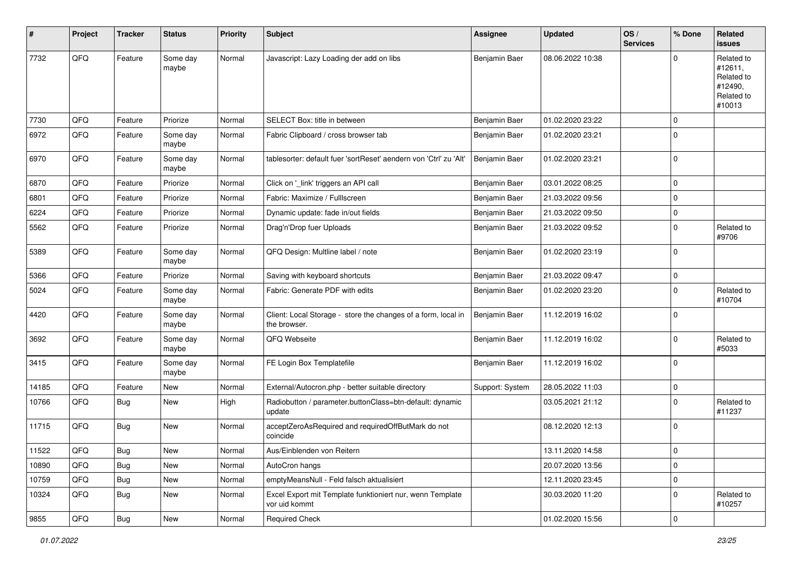| #     | Project    | <b>Tracker</b> | <b>Status</b>     | <b>Priority</b> | <b>Subject</b>                                                                | <b>Assignee</b> | <b>Updated</b>   | OS/<br><b>Services</b> | % Done      | Related<br>issues                                                      |
|-------|------------|----------------|-------------------|-----------------|-------------------------------------------------------------------------------|-----------------|------------------|------------------------|-------------|------------------------------------------------------------------------|
| 7732  | QFQ        | Feature        | Some day<br>maybe | Normal          | Javascript: Lazy Loading der add on libs                                      | Benjamin Baer   | 08.06.2022 10:38 |                        | $\Omega$    | Related to<br>#12611,<br>Related to<br>#12490,<br>Related to<br>#10013 |
| 7730  | QFQ        | Feature        | Priorize          | Normal          | SELECT Box: title in between                                                  | Benjamin Baer   | 01.02.2020 23:22 |                        | 0           |                                                                        |
| 6972  | QFQ        | Feature        | Some day<br>maybe | Normal          | Fabric Clipboard / cross browser tab                                          | Benjamin Baer   | 01.02.2020 23:21 |                        | $\mathbf 0$ |                                                                        |
| 6970  | QFQ        | Feature        | Some day<br>maybe | Normal          | tablesorter: default fuer 'sortReset' aendern von 'Ctrl' zu 'Alt'             | Benjamin Baer   | 01.02.2020 23:21 |                        | $\mathbf 0$ |                                                                        |
| 6870  | QFQ        | Feature        | Priorize          | Normal          | Click on '_link' triggers an API call                                         | Benjamin Baer   | 03.01.2022 08:25 |                        | $\pmb{0}$   |                                                                        |
| 6801  | QFQ        | Feature        | Priorize          | Normal          | Fabric: Maximize / FullIscreen                                                | Benjamin Baer   | 21.03.2022 09:56 |                        | 0           |                                                                        |
| 6224  | QFQ        | Feature        | Priorize          | Normal          | Dynamic update: fade in/out fields                                            | Benjamin Baer   | 21.03.2022 09:50 |                        | 0           |                                                                        |
| 5562  | QFQ        | Feature        | Priorize          | Normal          | Drag'n'Drop fuer Uploads                                                      | Benjamin Baer   | 21.03.2022 09:52 |                        | 0           | Related to<br>#9706                                                    |
| 5389  | QFQ        | Feature        | Some day<br>maybe | Normal          | QFQ Design: Multline label / note                                             | Benjamin Baer   | 01.02.2020 23:19 |                        | $\mathbf 0$ |                                                                        |
| 5366  | QFQ        | Feature        | Priorize          | Normal          | Saving with keyboard shortcuts                                                | Benjamin Baer   | 21.03.2022 09:47 |                        | 0           |                                                                        |
| 5024  | QFQ        | Feature        | Some day<br>maybe | Normal          | Fabric: Generate PDF with edits                                               | Benjamin Baer   | 01.02.2020 23:20 |                        | $\Omega$    | Related to<br>#10704                                                   |
| 4420  | QFQ        | Feature        | Some day<br>maybe | Normal          | Client: Local Storage - store the changes of a form, local in<br>the browser. | Benjamin Baer   | 11.12.2019 16:02 |                        | 0           |                                                                        |
| 3692  | QFQ        | Feature        | Some day<br>maybe | Normal          | QFQ Webseite                                                                  | Benjamin Baer   | 11.12.2019 16:02 |                        | $\mathbf 0$ | Related to<br>#5033                                                    |
| 3415  | QFQ        | Feature        | Some day<br>maybe | Normal          | FE Login Box Templatefile                                                     | Benjamin Baer   | 11.12.2019 16:02 |                        | $\mathbf 0$ |                                                                        |
| 14185 | QFQ        | Feature        | New               | Normal          | External/Autocron.php - better suitable directory                             | Support: System | 28.05.2022 11:03 |                        | $\pmb{0}$   |                                                                        |
| 10766 | QFQ        | <b>Bug</b>     | New               | High            | Radiobutton / parameter.buttonClass=btn-default: dynamic<br>update            |                 | 03.05.2021 21:12 |                        | $\mathbf 0$ | Related to<br>#11237                                                   |
| 11715 | QFQ        | <b>Bug</b>     | <b>New</b>        | Normal          | acceptZeroAsRequired and requiredOffButMark do not<br>coincide                |                 | 08.12.2020 12:13 |                        | $\mathbf 0$ |                                                                        |
| 11522 | <b>QFQ</b> | <b>Bug</b>     | New               | Normal          | Aus/Einblenden von Reitern                                                    |                 | 13.11.2020 14:58 |                        | 0           |                                                                        |
| 10890 | QFQ        | Bug            | New               | Normal          | AutoCron hangs                                                                |                 | 20.07.2020 13:56 |                        | $\mathbf 0$ |                                                                        |
| 10759 | QFQ        | <b>Bug</b>     | New               | Normal          | emptyMeansNull - Feld falsch aktualisiert                                     |                 | 12.11.2020 23:45 |                        | $\pmb{0}$   |                                                                        |
| 10324 | QFQ        | <b>Bug</b>     | New               | Normal          | Excel Export mit Template funktioniert nur, wenn Template<br>vor uid kommt    |                 | 30.03.2020 11:20 |                        | $\pmb{0}$   | Related to<br>#10257                                                   |
| 9855  | QFQ        | Bug            | New               | Normal          | <b>Required Check</b>                                                         |                 | 01.02.2020 15:56 |                        | $\pmb{0}$   |                                                                        |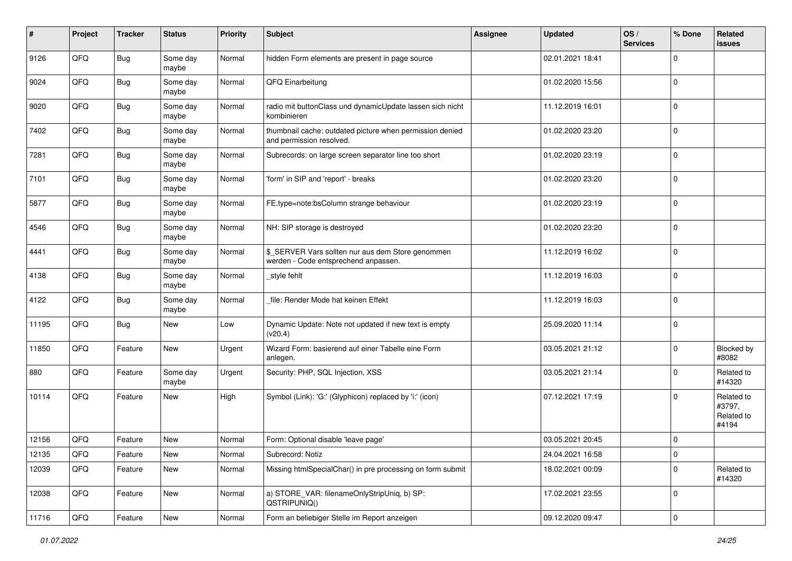| $\sharp$ | Project | <b>Tracker</b> | <b>Status</b>     | <b>Priority</b> | <b>Subject</b>                                                                            | <b>Assignee</b> | <b>Updated</b>   | OS/<br><b>Services</b> | % Done      | Related<br>issues                           |
|----------|---------|----------------|-------------------|-----------------|-------------------------------------------------------------------------------------------|-----------------|------------------|------------------------|-------------|---------------------------------------------|
| 9126     | QFQ     | <b>Bug</b>     | Some day<br>maybe | Normal          | hidden Form elements are present in page source                                           |                 | 02.01.2021 18:41 |                        | $\mathbf 0$ |                                             |
| 9024     | QFQ     | <b>Bug</b>     | Some day<br>maybe | Normal          | QFQ Einarbeitung                                                                          |                 | 01.02.2020 15:56 |                        | $\mathbf 0$ |                                             |
| 9020     | QFQ     | <b>Bug</b>     | Some day<br>maybe | Normal          | radio mit buttonClass und dynamicUpdate lassen sich nicht<br>kombinieren                  |                 | 11.12.2019 16:01 |                        | $\mathbf 0$ |                                             |
| 7402     | QFQ     | <b>Bug</b>     | Some day<br>maybe | Normal          | thumbnail cache: outdated picture when permission denied<br>and permission resolved.      |                 | 01.02.2020 23:20 |                        | 0           |                                             |
| 7281     | QFQ     | <b>Bug</b>     | Some day<br>maybe | Normal          | Subrecords: on large screen separator line too short                                      |                 | 01.02.2020 23:19 |                        | $\mathbf 0$ |                                             |
| 7101     | QFQ     | <b>Bug</b>     | Some day<br>maybe | Normal          | 'form' in SIP and 'report' - breaks                                                       |                 | 01.02.2020 23:20 |                        | 0           |                                             |
| 5877     | QFQ     | <b>Bug</b>     | Some day<br>maybe | Normal          | FE.type=note:bsColumn strange behaviour                                                   |                 | 01.02.2020 23:19 |                        | $\Omega$    |                                             |
| 4546     | QFQ     | <b>Bug</b>     | Some day<br>maybe | Normal          | NH: SIP storage is destroyed                                                              |                 | 01.02.2020 23:20 |                        | 0           |                                             |
| 4441     | QFQ     | Bug            | Some day<br>maybe | Normal          | \$ SERVER Vars sollten nur aus dem Store genommen<br>werden - Code entsprechend anpassen. |                 | 11.12.2019 16:02 |                        | $\mathbf 0$ |                                             |
| 4138     | QFQ     | <b>Bug</b>     | Some day<br>maybe | Normal          | style fehlt                                                                               |                 | 11.12.2019 16:03 |                        | $\mathbf 0$ |                                             |
| 4122     | QFQ     | <b>Bug</b>     | Some day<br>maybe | Normal          | file: Render Mode hat keinen Effekt                                                       |                 | 11.12.2019 16:03 |                        | 0           |                                             |
| 11195    | QFQ     | <b>Bug</b>     | New               | Low             | Dynamic Update: Note not updated if new text is empty<br>(v20.4)                          |                 | 25.09.2020 11:14 |                        | $\Omega$    |                                             |
| 11850    | QFQ     | Feature        | New               | Urgent          | Wizard Form: basierend auf einer Tabelle eine Form<br>anlegen.                            |                 | 03.05.2021 21:12 |                        | $\Omega$    | Blocked by<br>#8082                         |
| 880      | QFQ     | Feature        | Some day<br>maybe | Urgent          | Security: PHP, SQL Injection, XSS                                                         |                 | 03.05.2021 21:14 |                        | $\Omega$    | Related to<br>#14320                        |
| 10114    | QFQ     | Feature        | <b>New</b>        | High            | Symbol (Link): 'G:' (Glyphicon) replaced by 'i:' (icon)                                   |                 | 07.12.2021 17:19 |                        | $\Omega$    | Related to<br>#3797,<br>Related to<br>#4194 |
| 12156    | QFQ     | Feature        | New               | Normal          | Form: Optional disable 'leave page'                                                       |                 | 03.05.2021 20:45 |                        | 0           |                                             |
| 12135    | QFQ     | Feature        | New               | Normal          | Subrecord: Notiz                                                                          |                 | 24.04.2021 16:58 |                        | $\pmb{0}$   |                                             |
| 12039    | QFQ     | Feature        | New               | Normal          | Missing htmlSpecialChar() in pre processing on form submit                                |                 | 18.02.2021 00:09 |                        | 0           | Related to<br>#14320                        |
| 12038    | QFQ     | Feature        | New               | Normal          | a) STORE_VAR: filenameOnlyStripUniq, b) SP:<br>QSTRIPUNIQ()                               |                 | 17.02.2021 23:55 |                        | $\mathbf 0$ |                                             |
| 11716    | QFQ     | Feature        | New               | Normal          | Form an beliebiger Stelle im Report anzeigen                                              |                 | 09.12.2020 09:47 |                        | $\pmb{0}$   |                                             |